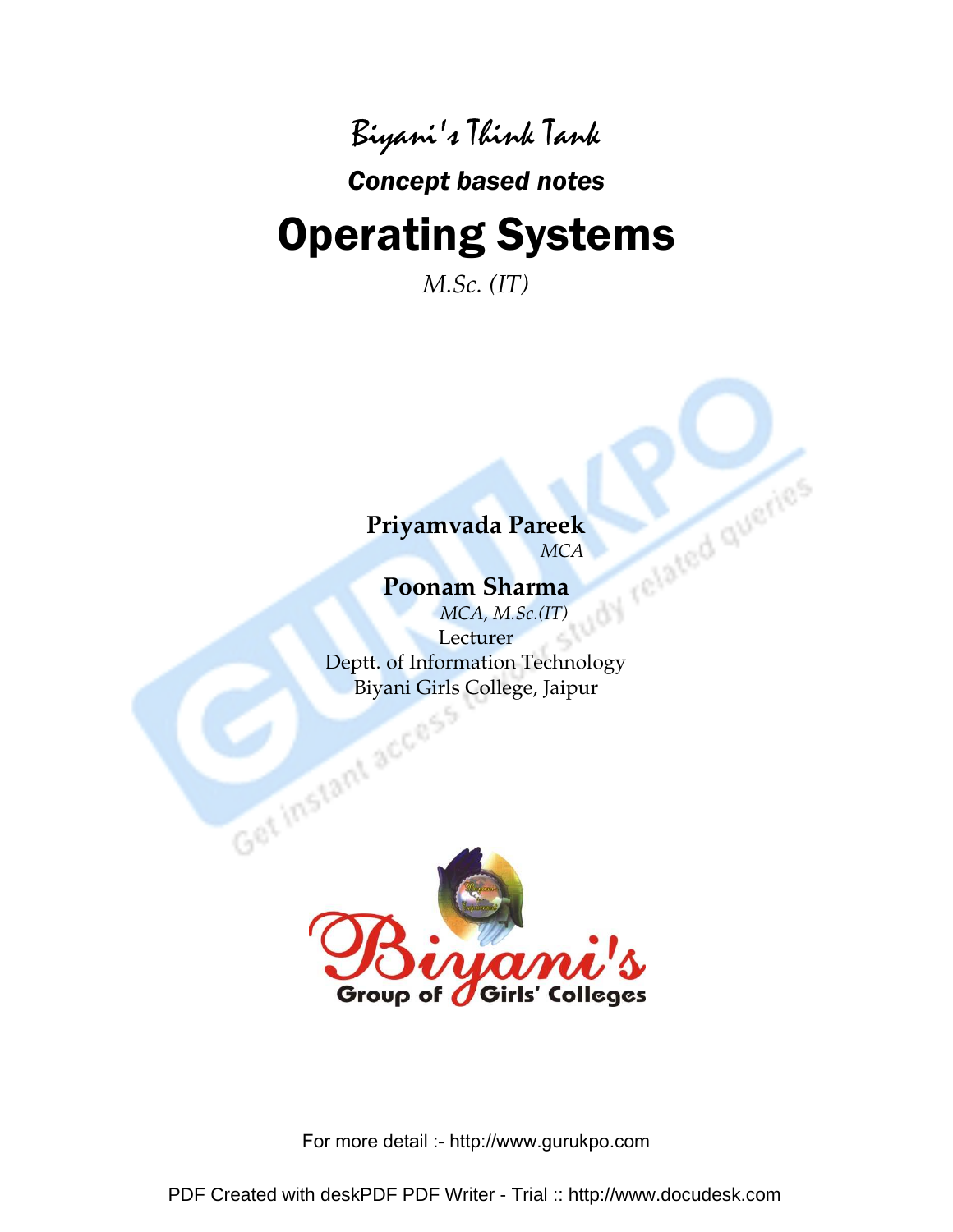### Biyani's Think Tank

### Concept based notes

# Operating Systems

*M.Sc. (IT)* 

# *MCA*

### **Poonam Sharma**

**Priyamvada Pareek**<br>MCA<br>Poonam Sharma<br>MCA, M.S. *MCA, M.Sc.(IT)*  Lecturer Deptt. of Information Technology



For more detail :- http://www.gurukpo.com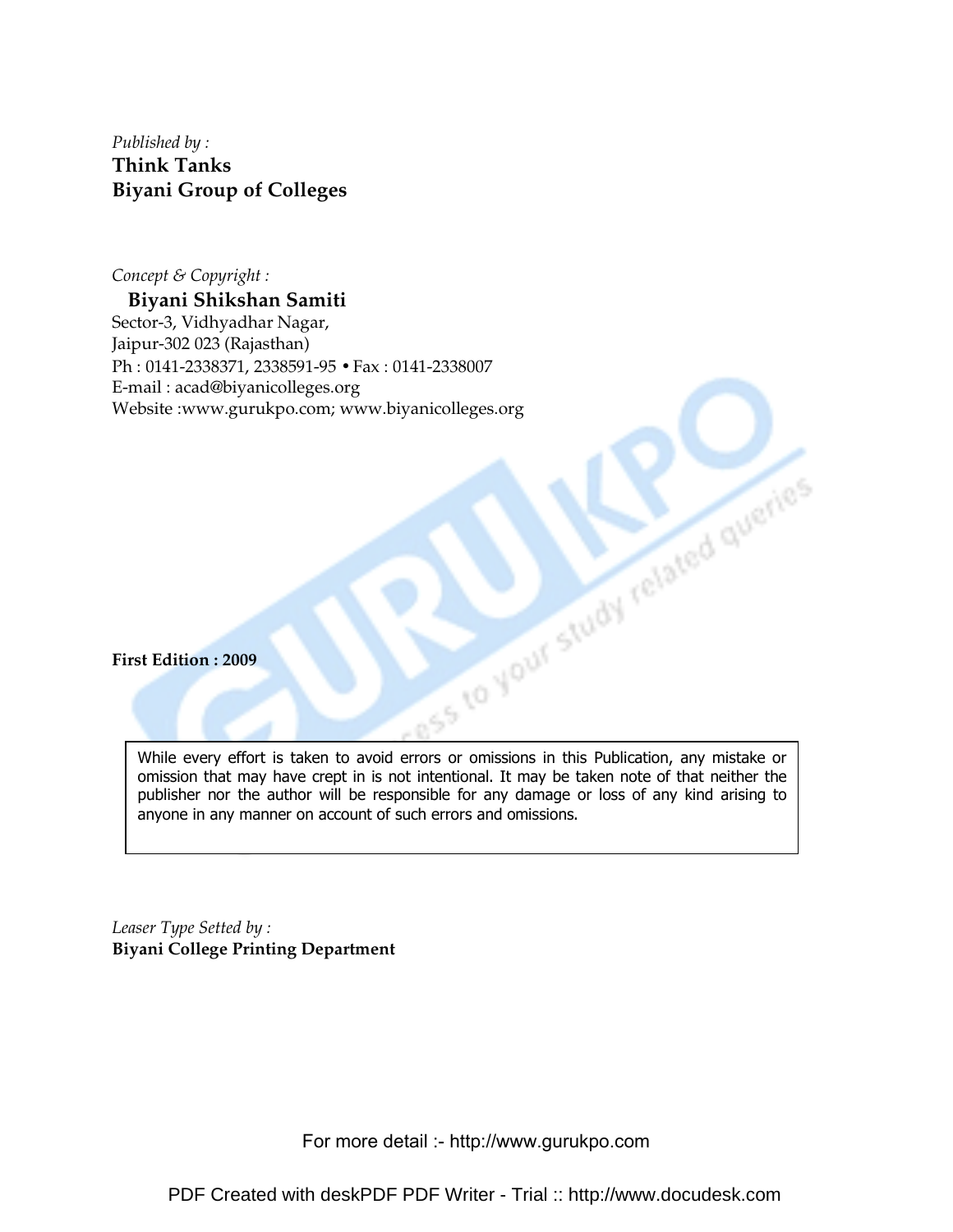*Published by :*  **Think Tanks Biyani Group of Colleges** 

*Concept & Copyright :* 

**Biyani Shikshan Samiti**  Sector-3, Vidhyadhar Nagar, Jaipur-302 023 (Rajasthan) Ph : 0141-2338371, 2338591-95 • Fax : 0141-2338007 E-mail : acad@biyanicolleges.org Website :www.gurukpo.com; www.biyanicolleges.org

**First Edition : 2009** 

While every effort is taken to avoid errors or omissions in this Publication, any mistake or omission that may have crept in is not intentional. It may be taken note of that neither the publisher nor the author will be responsible for any damage or loss of any kind arising to anyone in any manner on account of such errors and omissions.

*Leaser Type Setted by :*  **Biyani College Printing Department**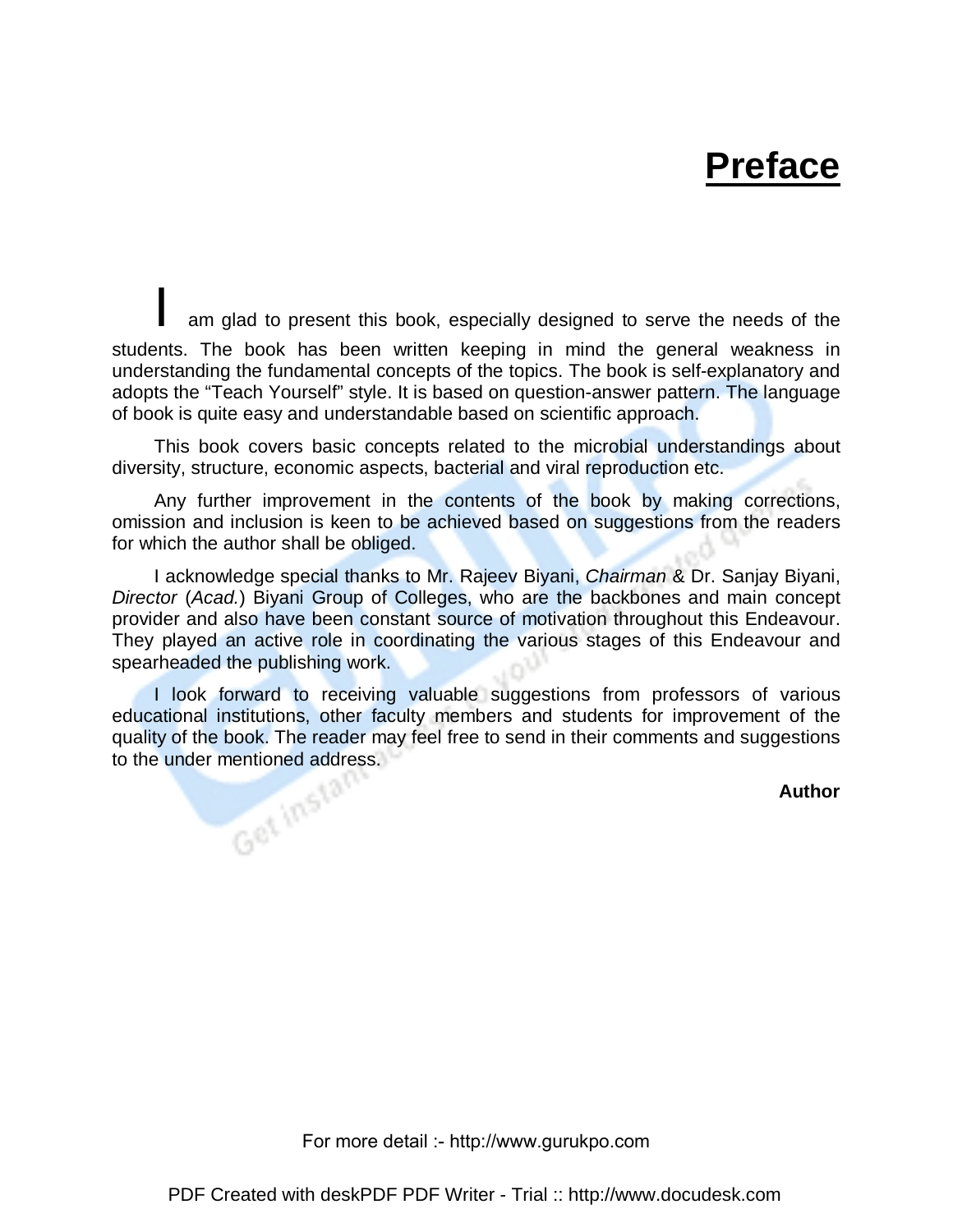## **Preface**

am glad to present this book, especially designed to serve the needs of the students. The book has been written keeping in mind the general weakness in understanding the fundamental concepts of the topics. The book is self-explanatory and adopts the "Teach Yourself" style. It is based on question-answer pattern. The language of book is quite easy and understandable based on scientific approach.

 This book covers basic concepts related to the microbial understandings about diversity, structure, economic aspects, bacterial and viral reproduction etc.

 Any further improvement in the contents of the book by making corrections, omission and inclusion is keen to be achieved based on suggestions from the readers for which the author shall be obliged.

 I acknowledge special thanks to Mr. Rajeev Biyani, Chairman & Dr. Sanjay Biyani, Director (Acad.) Biyani Group of Colleges, who are the backbones and main concept provider and also have been constant source of motivation throughout this Endeavour. They played an active role in coordinating the various stages of this Endeavour and spearheaded the publishing work.

I look forward to receiving valuable suggestions from professors of various educational institutions, other faculty members and students for improvement of the quality of the book. The reader may feel free to send in their comments and suggestions to the under mentioned address.

**Author**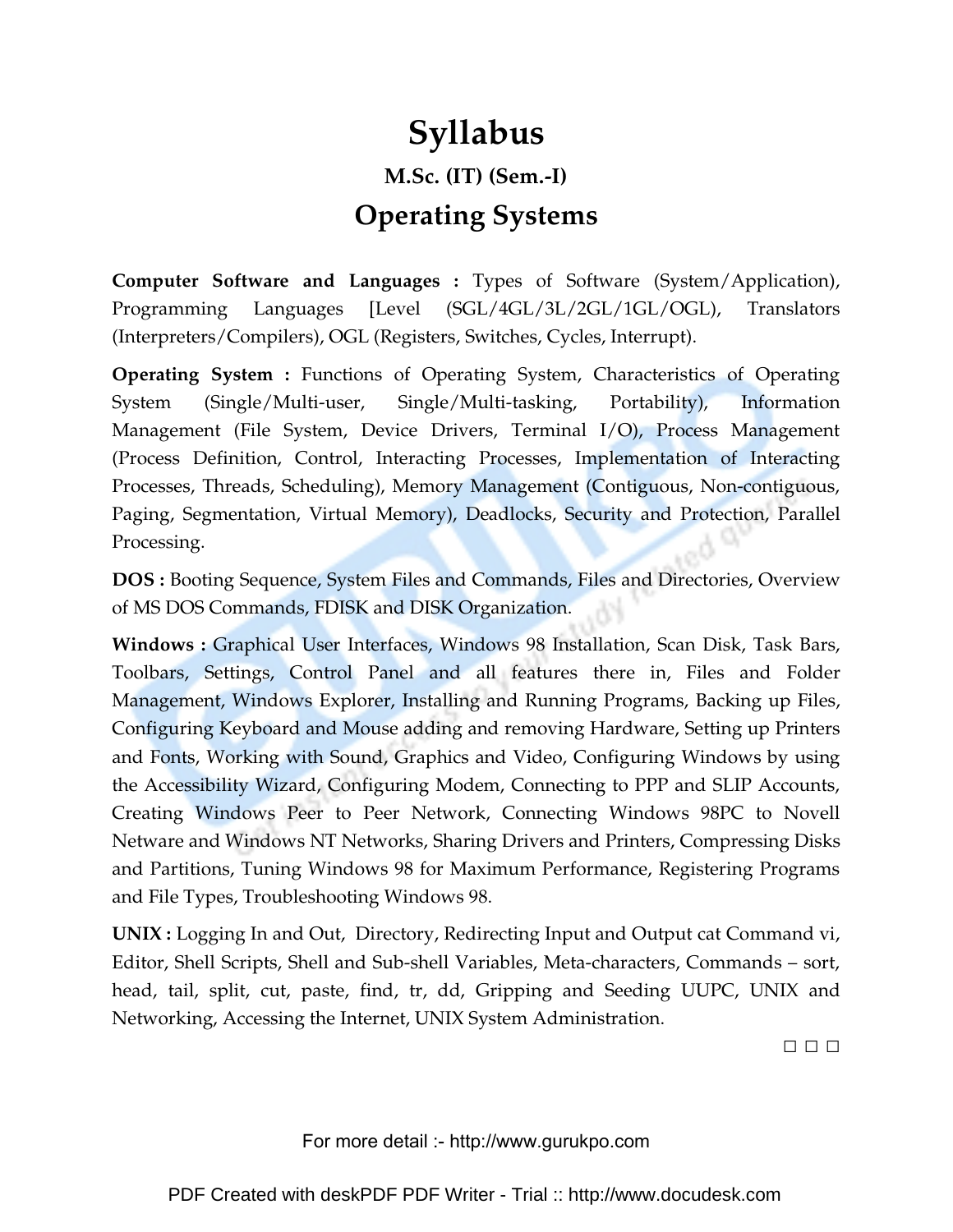## **Syllabus M.Sc. (IT) (Sem.-I) Operating Systems**

**Computer Software and Languages :** Types of Software (System/Application), Programming Languages [Level (SGL/4GL/3L/2GL/1GL/OGL), Translators (Interpreters/Compilers), OGL (Registers, Switches, Cycles, Interrupt).

**Operating System :** Functions of Operating System, Characteristics of Operating System (Single/Multi-user, Single/Multi-tasking, Portability), Information Management (File System, Device Drivers, Terminal I/O), Process Management (Process Definition, Control, Interacting Processes, Implementation of Interacting Processes, Threads, Scheduling), Memory Management (Contiguous, Non-contiguous, Paging, Segmentation, Virtual Memory), Deadlocks, Security and Protection, Parallel Processing.

**DOS :** Booting Sequence, System Files and Commands, Files and Directories, Overview of MS DOS Commands, FDISK and DISK Organization.

**Windows :** Graphical User Interfaces, Windows 98 Installation, Scan Disk, Task Bars, Toolbars, Settings, Control Panel and all features there in, Files and Folder Management, Windows Explorer, Installing and Running Programs, Backing up Files, Configuring Keyboard and Mouse adding and removing Hardware, Setting up Printers and Fonts, Working with Sound, Graphics and Video, Configuring Windows by using the Accessibility Wizard, Configuring Modem, Connecting to PPP and SLIP Accounts, Creating Windows Peer to Peer Network, Connecting Windows 98PC to Novell Netware and Windows NT Networks, Sharing Drivers and Printers, Compressing Disks and Partitions, Tuning Windows 98 for Maximum Performance, Registering Programs and File Types, Troubleshooting Windows 98.

**UNIX :** Logging In and Out, Directory, Redirecting Input and Output cat Command vi, Editor, Shell Scripts, Shell and Sub-shell Variables, Meta-characters, Commands – sort, head, tail, split, cut, paste, find, tr, dd, Gripping and Seeding UUPC, UNIX and Networking, Accessing the Internet, UNIX System Administration.

□ □ □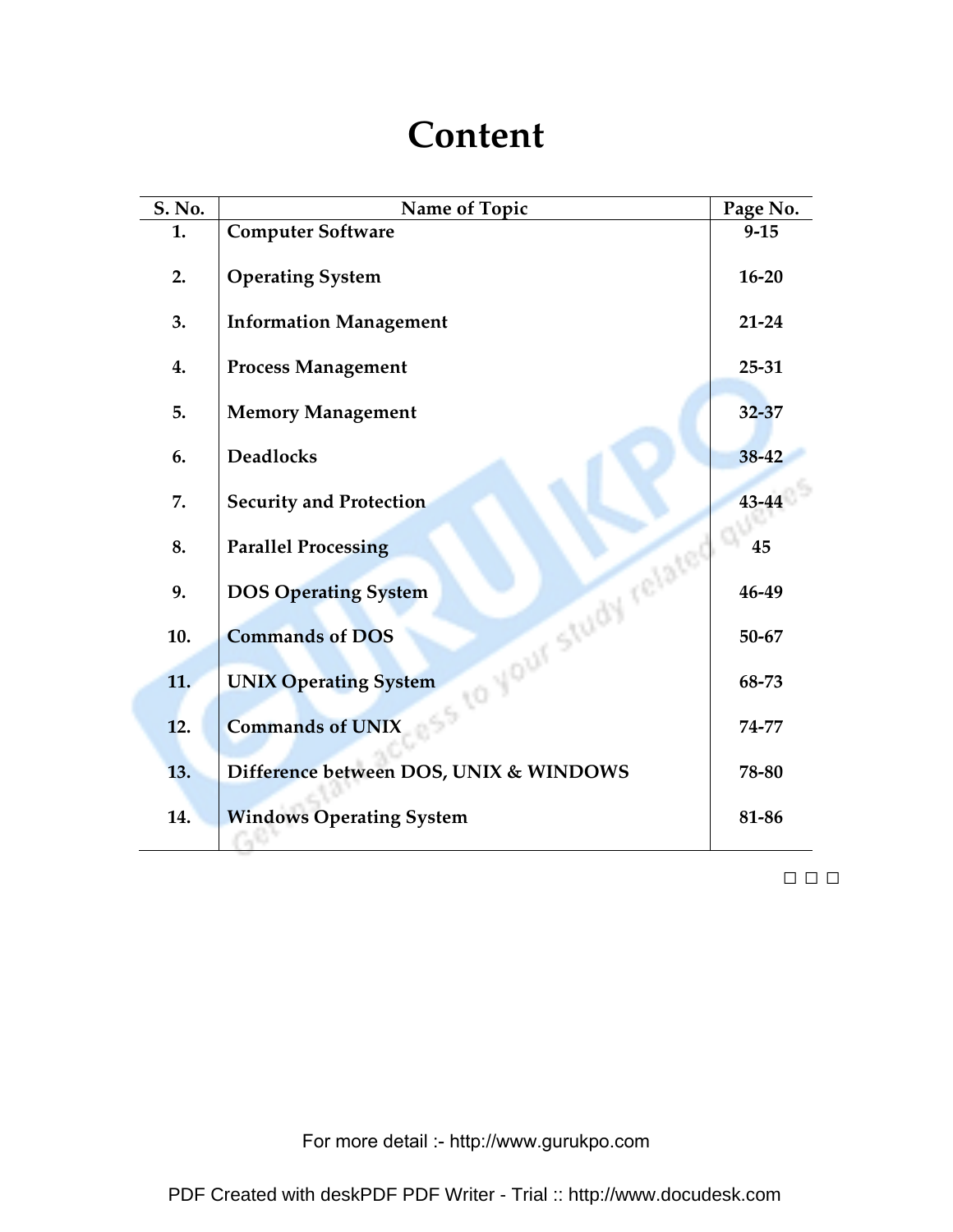## **Content**

| S. No. | Name of Topic                                            | Page No.  |
|--------|----------------------------------------------------------|-----------|
| 1.     | <b>Computer Software</b>                                 | $9 - 15$  |
| 2.     | <b>Operating System</b>                                  | $16 - 20$ |
| 3.     | <b>Information Management</b>                            | $21 - 24$ |
| 4.     | <b>Process Management</b>                                | $25 - 31$ |
| 5.     | <b>Memory Management</b>                                 | $32 - 37$ |
| 6.     | <b>Deadlocks</b>                                         | 38-42     |
| 7.     | <b>Security and Protection</b>                           | 43-44     |
| 8.     | <b>Parallel Processing</b>                               | 45        |
| 9.     | ISS to your study related<br><b>DOS Operating System</b> | 46-49     |
| 10.    | <b>Commands of DOS</b>                                   | 50-67     |
| 11.    | <b>UNIX Operating System</b>                             | 68-73     |
| 12.    | <b>Commands of UNIX</b>                                  | 74-77     |
| 13.    | Difference between DOS, UNIX & WINDOWS                   | 78-80     |
| 14.    | <b>Windows Operating System</b>                          | 81-86     |

□ □ □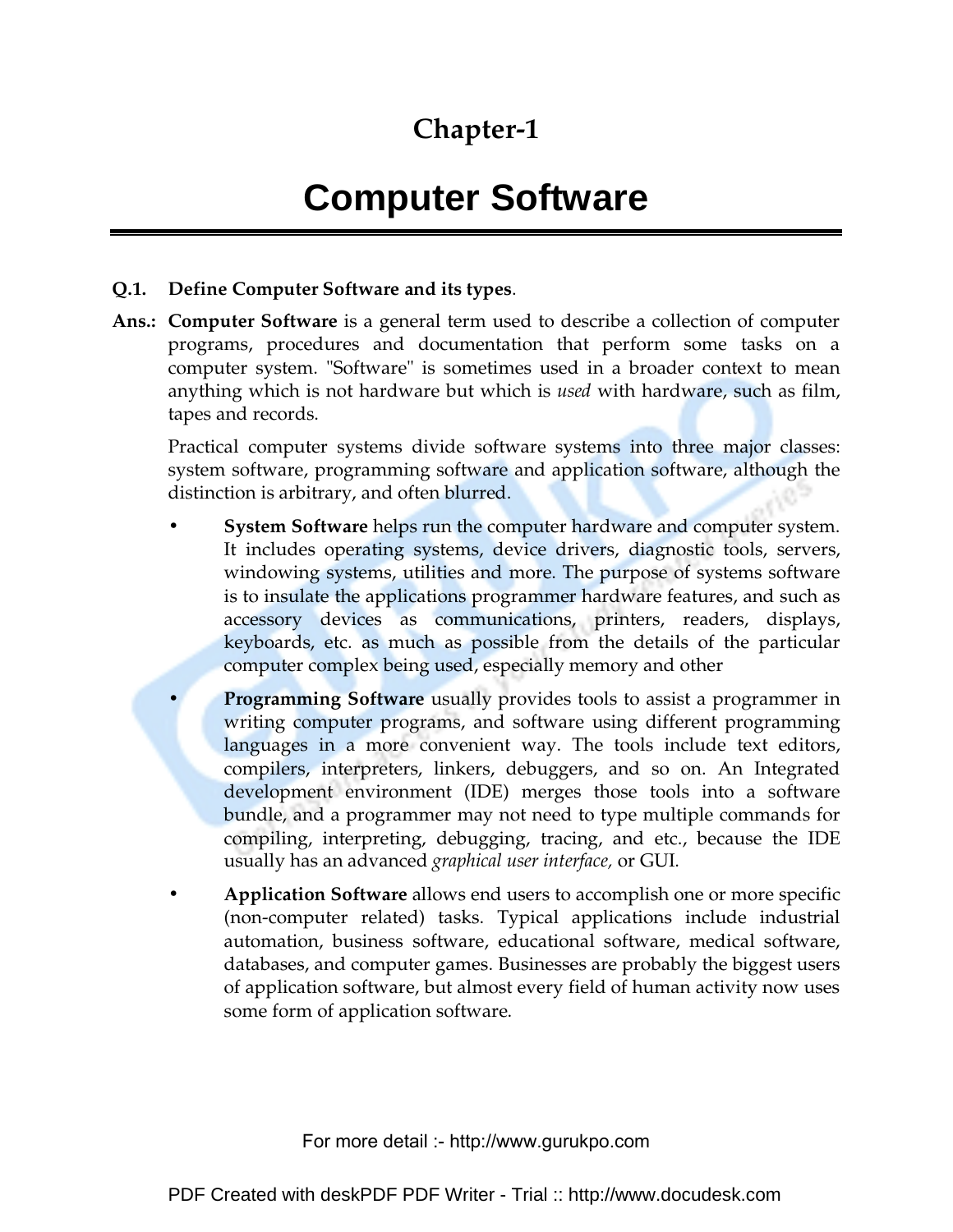### **Chapter-1**

## **Computer Software**

#### **Q.1. Define Computer Software and its types**.

**Ans.: Computer Software** is a general term used to describe a collection of computer programs, procedures and documentation that perform some tasks on a computer system. "Software" is sometimes used in a broader context to mean anything which is not hardware but which is *used* with hardware, such as film, tapes and records.

Practical computer systems divide software systems into three major classes: system software, programming software and application software, although the distinction is arbitrary, and often blurred.

- **System Software** helps run the computer hardware and computer system. It includes operating systems, device drivers, diagnostic tools, servers, windowing systems, utilities and more. The purpose of systems software is to insulate the applications programmer hardware features, and such as accessory devices as communications, printers, readers, displays, keyboards, etc. as much as possible from the details of the particular computer complex being used, especially memory and other
- **Programming Software** usually provides tools to assist a programmer in writing computer programs, and software using different programming languages in a more convenient way. The tools include text editors, compilers, interpreters, linkers, debuggers, and so on. An Integrated development environment (IDE) merges those tools into a software bundle, and a programmer may not need to type multiple commands for compiling, interpreting, debugging, tracing, and etc., because the IDE usually has an advanced *graphical user interface,* or GUI.
- **Application Software** allows end users to accomplish one or more specific (non-computer related) tasks. Typical applications include industrial automation, business software, educational software, medical software, databases, and computer games. Businesses are probably the biggest users of application software, but almost every field of human activity now uses some form of application software.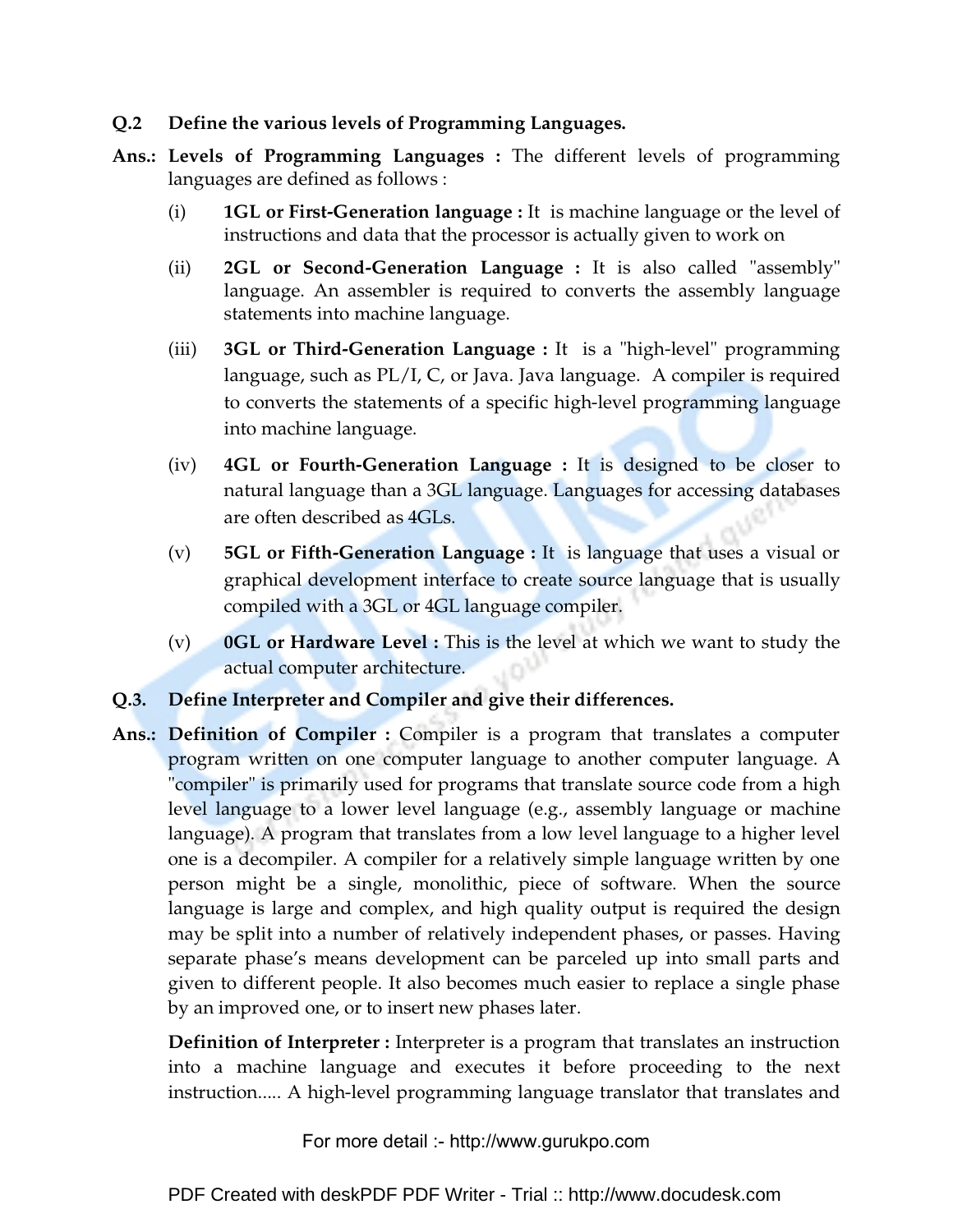### **Q.2 Define the various levels of Programming Languages.**

- **Ans.: Levels of Programming Languages :** The different levels of programming languages are defined as follows :
	- (i) **1GL or First-Generation language :** It is machine language or the level of instructions and data that the processor is actually given to work on
	- (ii) **2GL or Second-Generation Language :** It is also called "assembly" language. An assembler is required to converts the assembly language statements into machine language.
	- (iii) **3GL or Third-Generation Language :** It is a "high-level" programming language, such as PL/I, C, or Java. Java language. A compiler is required to converts the statements of a specific high-level programming language into machine language.
	- (iv) **4GL or Fourth-Generation Language :** It is designed to be closer to natural language than a 3GL language. Languages for accessing databases are often described as 4GLs.
	- (v) **5GL or Fifth-Generation Language :** It is language that uses a visual or graphical development interface to create source language that is usually compiled with a 3GL or 4GL language compiler.
	- (v) **0GL or Hardware Level :** This is the level at which we want to study the actual computer architecture.

### **Q.3. Define Interpreter and Compiler and give their differences.**

**Ans.: Definition of Compiler :** Compiler is a program that translates a computer program written on one computer language to another computer language. A "compiler" is primarily used for programs that translate source code from a high level language to a lower level language (e.g., assembly language or machine language). A program that translates from a low level language to a higher level one is a decompiler. A compiler for a relatively simple language written by one person might be a single, monolithic, piece of software. When the source language is large and complex, and high quality output is required the design may be split into a number of relatively independent phases, or passes. Having separate phase's means development can be parceled up into small parts and given to different people. It also becomes much easier to replace a single phase by an improved one, or to insert new phases later.

**Definition of Interpreter :** Interpreter is a program that translates an instruction into a machine language and executes it before proceeding to the next instruction..... A high-level programming language translator that translates and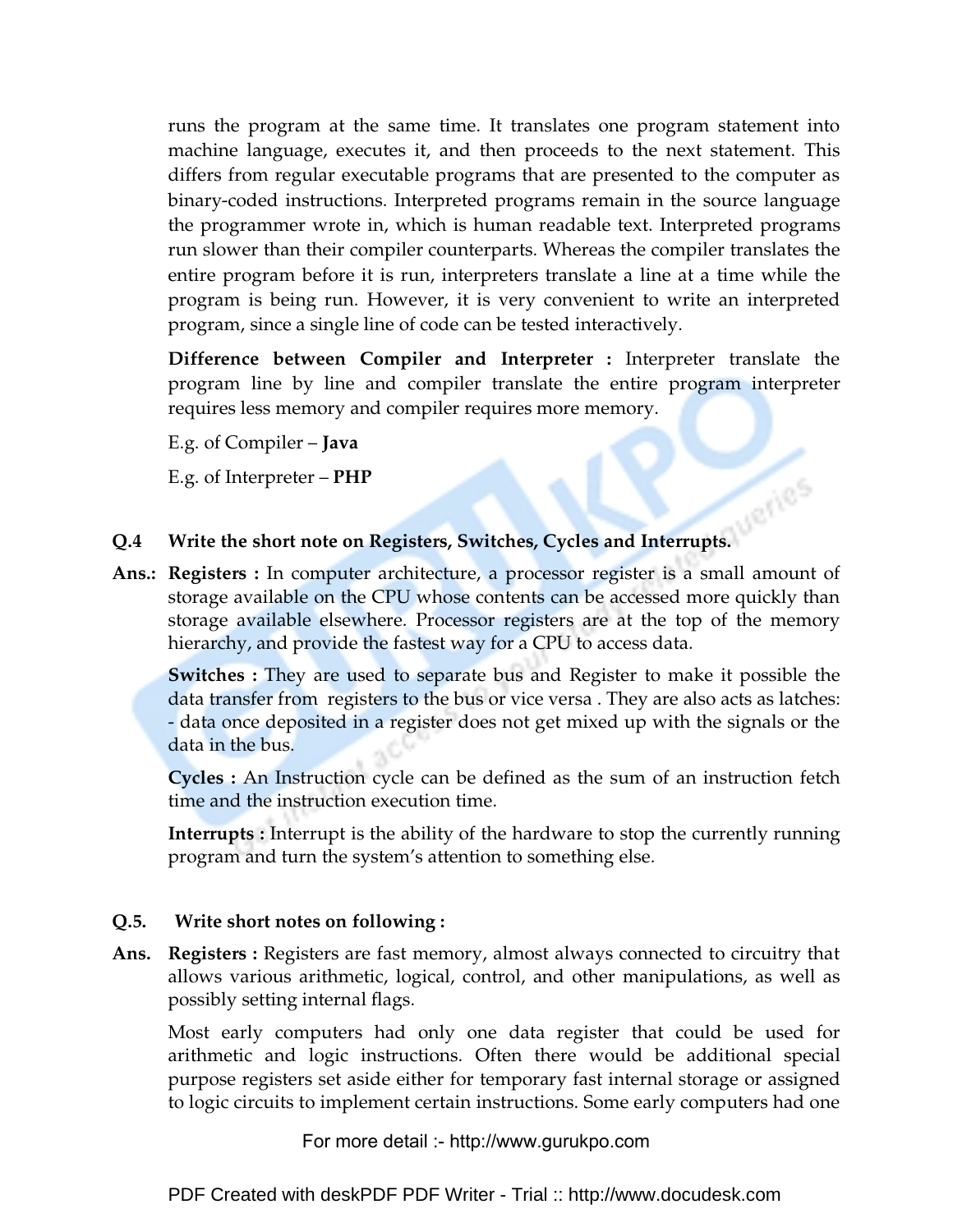runs the program at the same time. It translates one program statement into machine language, executes it, and then proceeds to the next statement. This differs from regular executable programs that are presented to the computer as binary-coded instructions. Interpreted programs remain in the source language the programmer wrote in, which is human readable text. Interpreted programs run slower than their compiler counterparts. Whereas the compiler translates the entire program before it is run, interpreters translate a line at a time while the program is being run. However, it is very convenient to write an interpreted program, since a single line of code can be tested interactively.

**Difference between Compiler and Interpreter :** Interpreter translate the program line by line and compiler translate the entire program interpreter requires less memory and compiler requires more memory.

E.g. of Compiler – **Java**

E.g. of Interpreter – **PHP** 

### **Q.4 Write the short note on Registers, Switches, Cycles and Interrupts.**

**Ans.: Registers :** In computer architecture, a processor register is a small amount of storage available on the CPU whose contents can be accessed more quickly than storage available elsewhere. Processor registers are at the top of the memory hierarchy, and provide the fastest way for a CPU to access data.

**Switches :** They are used to separate bus and Register to make it possible the data transfer from registers to the bus or vice versa . They are also acts as latches: - data once deposited in a register does not get mixed up with the signals or the data in the bus.

**Cycles :** An Instruction cycle can be defined as the sum of an instruction fetch time and the instruction execution time.

**Interrupts :** Interrupt is the ability of the hardware to stop the currently running program and turn the system's attention to something else.

### **Q.5. Write short notes on following :**

**Ans. Registers :** Registers are fast memory, almost always connected to circuitry that allows various arithmetic, logical, control, and other manipulations, as well as possibly setting internal flags.

Most early computers had only one data register that could be used for arithmetic and logic instructions. Often there would be additional special purpose registers set aside either for temporary fast internal storage or assigned to logic circuits to implement certain instructions. Some early computers had one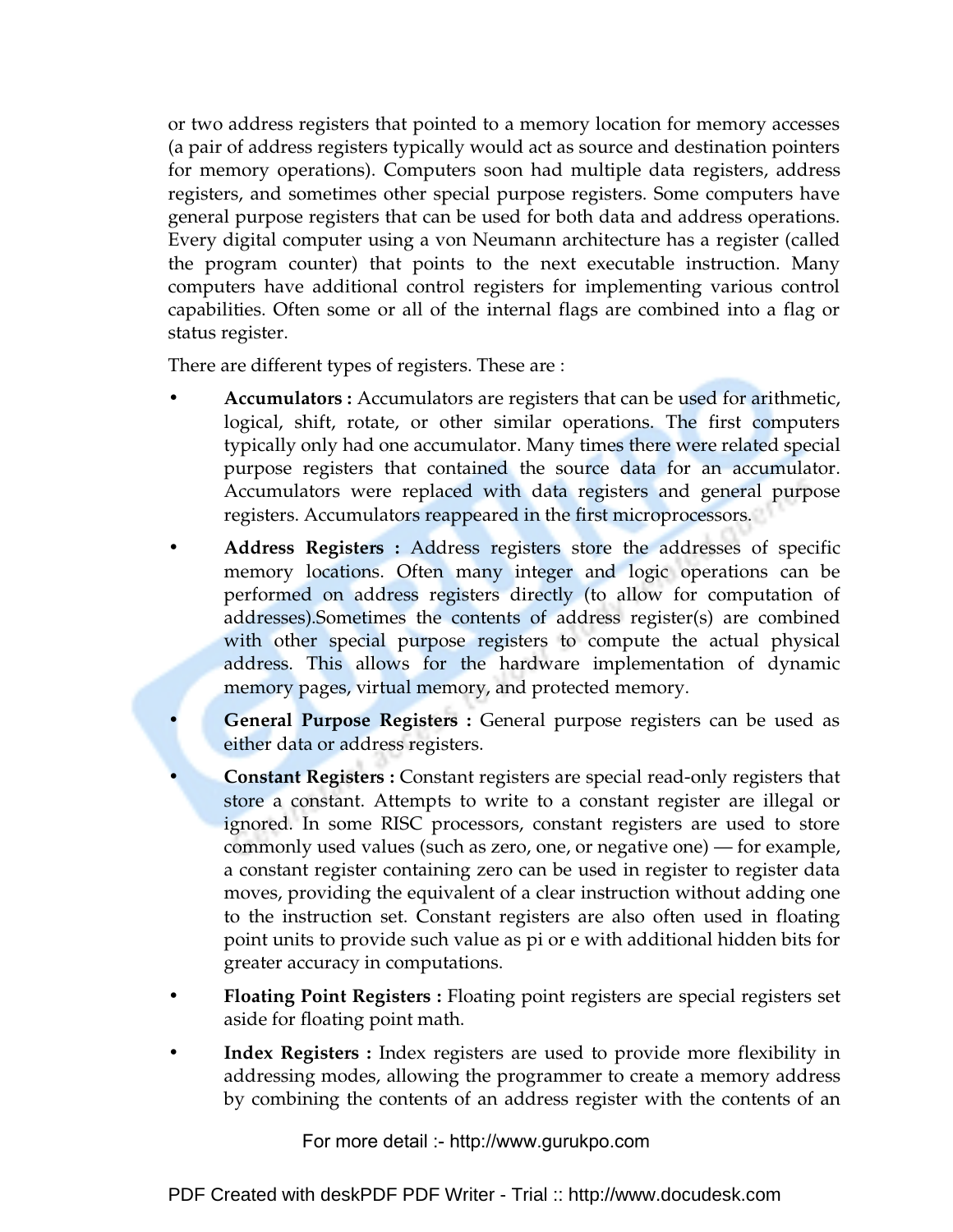or two address registers that pointed to a memory location for memory accesses (a pair of address registers typically would act as source and destination pointers for memory operations). Computers soon had multiple data registers, address registers, and sometimes other special purpose registers. Some computers have general purpose registers that can be used for both data and address operations. Every digital computer using a von Neumann architecture has a register (called the program counter) that points to the next executable instruction. Many computers have additional control registers for implementing various control capabilities. Often some or all of the internal flags are combined into a flag or status register.

There are different types of registers. These are :

- **Accumulators :** Accumulators are registers that can be used for arithmetic, logical, shift, rotate, or other similar operations. The first computers typically only had one accumulator. Many times there were related special purpose registers that contained the source data for an accumulator. Accumulators were replaced with data registers and general purpose registers. Accumulators reappeared in the first microprocessors.
- **Address Registers :** Address registers store the addresses of specific memory locations. Often many integer and logic operations can be performed on address registers directly (to allow for computation of addresses).Sometimes the contents of address register(s) are combined with other special purpose registers to compute the actual physical address. This allows for the hardware implementation of dynamic memory pages, virtual memory, and protected memory.
- **General Purpose Registers :** General purpose registers can be used as either data or address registers.
- **Constant Registers :** Constant registers are special read-only registers that store a constant. Attempts to write to a constant register are illegal or ignored. In some RISC processors, constant registers are used to store commonly used values (such as zero, one, or negative one) — for example, a constant register containing zero can be used in register to register data moves, providing the equivalent of a clear instruction without adding one to the instruction set. Constant registers are also often used in floating point units to provide such value as pi or e with additional hidden bits for greater accuracy in computations.
- **Floating Point Registers :** Floating point registers are special registers set aside for floating point math.
- **Index Registers :** Index registers are used to provide more flexibility in addressing modes, allowing the programmer to create a memory address by combining the contents of an address register with the contents of an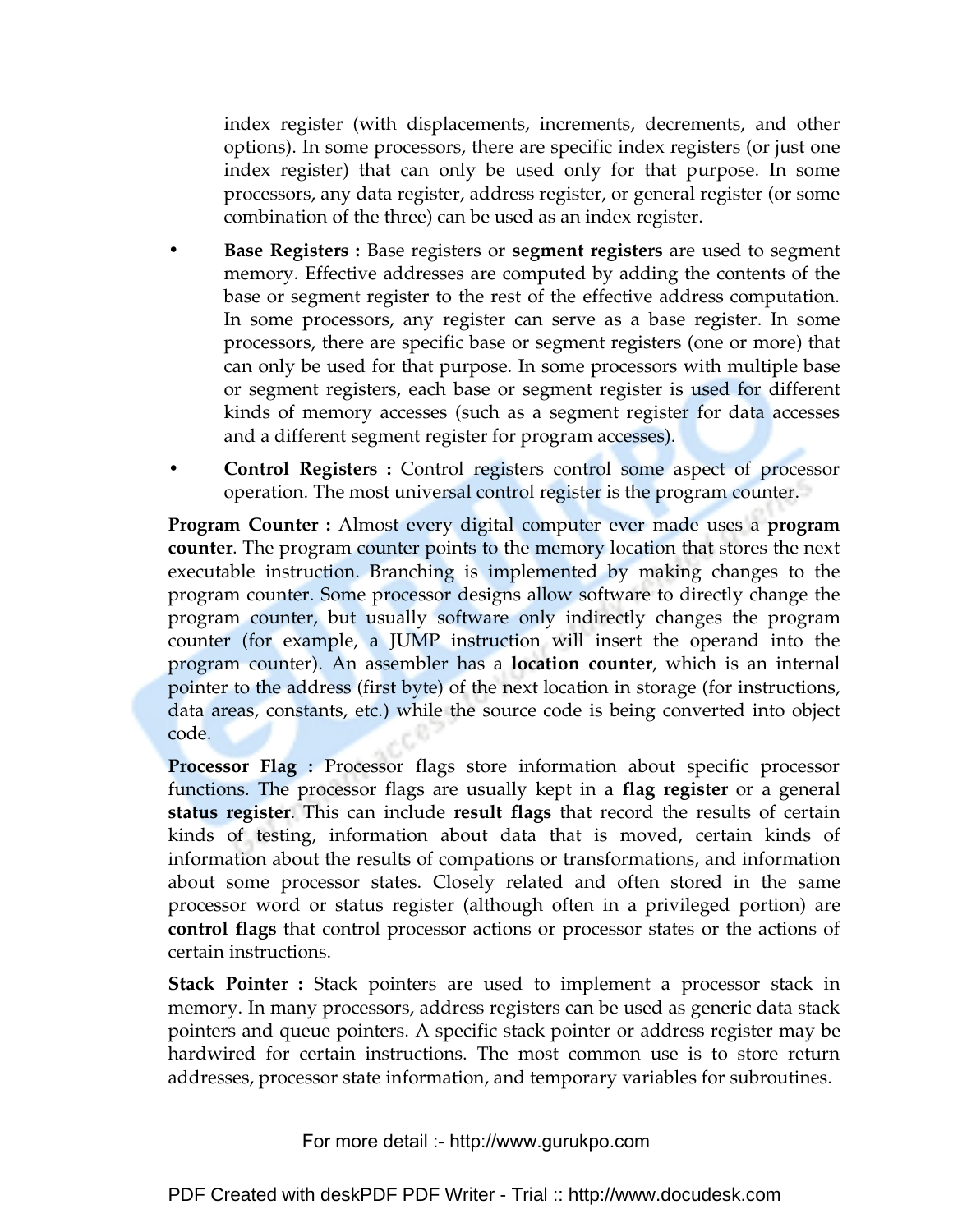index register (with displacements, increments, decrements, and other options). In some processors, there are specific index registers (or just one index register) that can only be used only for that purpose. In some processors, any data register, address register, or general register (or some combination of the three) can be used as an index register.

- **Base Registers :** Base registers or **segment registers** are used to segment memory. Effective addresses are computed by adding the contents of the base or segment register to the rest of the effective address computation. In some processors, any register can serve as a base register. In some processors, there are specific base or segment registers (one or more) that can only be used for that purpose. In some processors with multiple base or segment registers, each base or segment register is used for different kinds of memory accesses (such as a segment register for data accesses and a different segment register for program accesses).
- **Control Registers :** Control registers control some aspect of processor operation. The most universal control register is the program counter.

**Program Counter :** Almost every digital computer ever made uses a **program counter**. The program counter points to the memory location that stores the next executable instruction. Branching is implemented by making changes to the program counter. Some processor designs allow software to directly change the program counter, but usually software only indirectly changes the program counter (for example, a JUMP instruction will insert the operand into the program counter). An assembler has a **location counter**, which is an internal pointer to the address (first byte) of the next location in storage (for instructions, data areas, constants, etc.) while the source code is being converted into object code.

**Processor Flag :** Processor flags store information about specific processor functions. The processor flags are usually kept in a **flag register** or a general **status register**. This can include **result flags** that record the results of certain kinds of testing, information about data that is moved, certain kinds of information about the results of compations or transformations, and information about some processor states. Closely related and often stored in the same processor word or status register (although often in a privileged portion) are **control flags** that control processor actions or processor states or the actions of certain instructions.

**Stack Pointer :** Stack pointers are used to implement a processor stack in memory. In many processors, address registers can be used as generic data stack pointers and queue pointers. A specific stack pointer or address register may be hardwired for certain instructions. The most common use is to store return addresses, processor state information, and temporary variables for subroutines.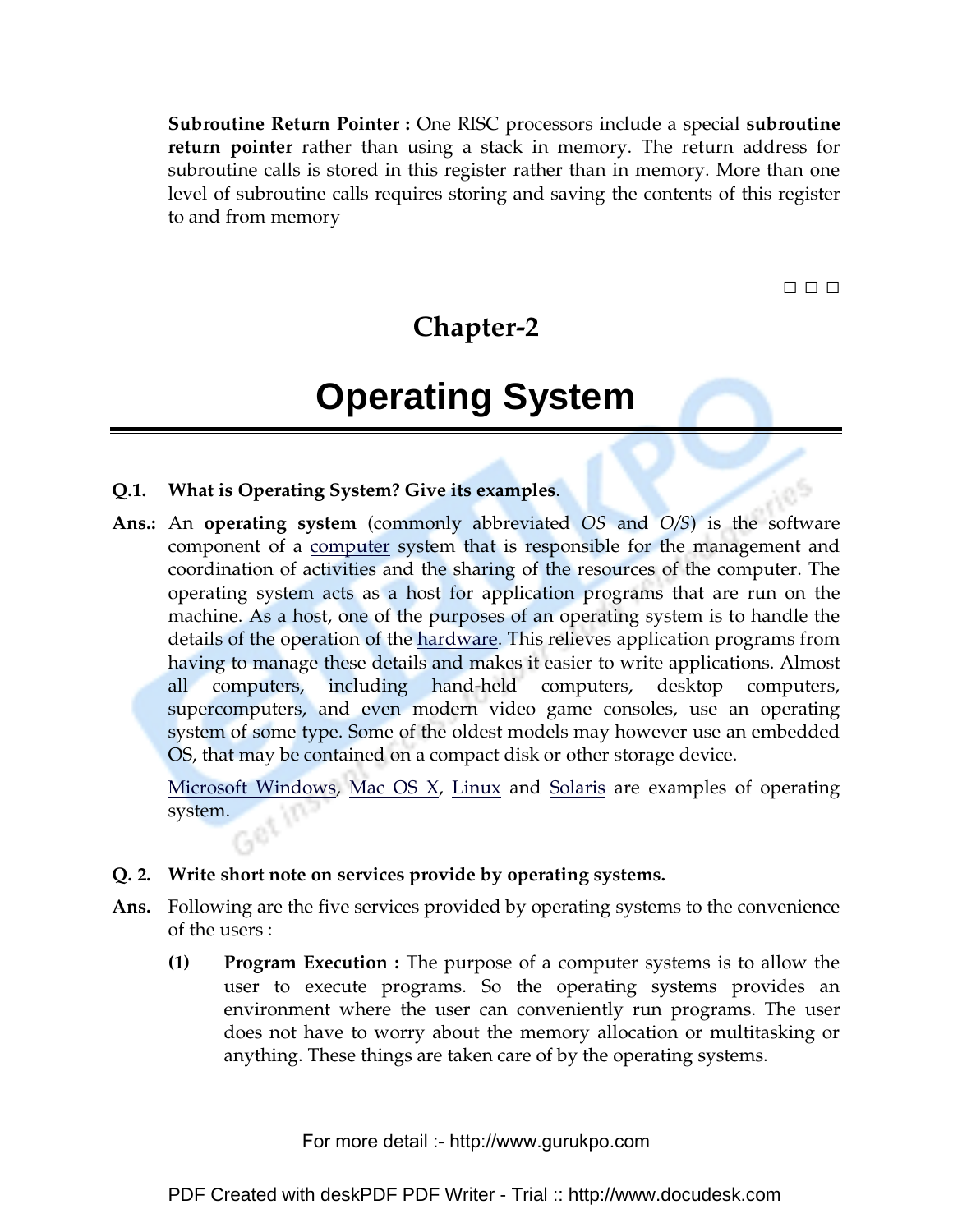**Subroutine Return Pointer :** One RISC processors include a special **subroutine return pointer** rather than using a stack in memory. The return address for subroutine calls is stored in this register rather than in memory. More than one level of subroutine calls requires storing and saving the contents of this register to and from memory

□ □ □

### **Chapter-2**

## **Operating System**

- **Q.1. What is Operating System? Give its examples**.
- **Ans.:** An **operating system** (commonly abbreviated *OS* and *O/S*) is the software component of a computer system that is responsible for the management and coordination of activities and the sharing of the resources of the computer. The operating system acts as a host for application programs that are run on the machine. As a host, one of the purposes of an operating system is to handle the details of the operation of the hardware. This relieves application programs from having to manage these details and makes it easier to write applications. Almost all computers, including hand-held computers, desktop computers, supercomputers, and even modern video game consoles, use an operating system of some type. Some of the oldest models may however use an embedded OS, that may be contained on a compact disk or other storage device.

Microsoft Windows, Mac OS X, Linux and Solaris are examples of operating system.

- **Q. 2. Write short note on services provide by operating systems.**
- **Ans.** Following are the five services provided by operating systems to the convenience of the users :
	- **(1) Program Execution :** The purpose of a computer systems is to allow the user to execute programs. So the operating systems provides an environment where the user can conveniently run programs. The user does not have to worry about the memory allocation or multitasking or anything. These things are taken care of by the operating systems.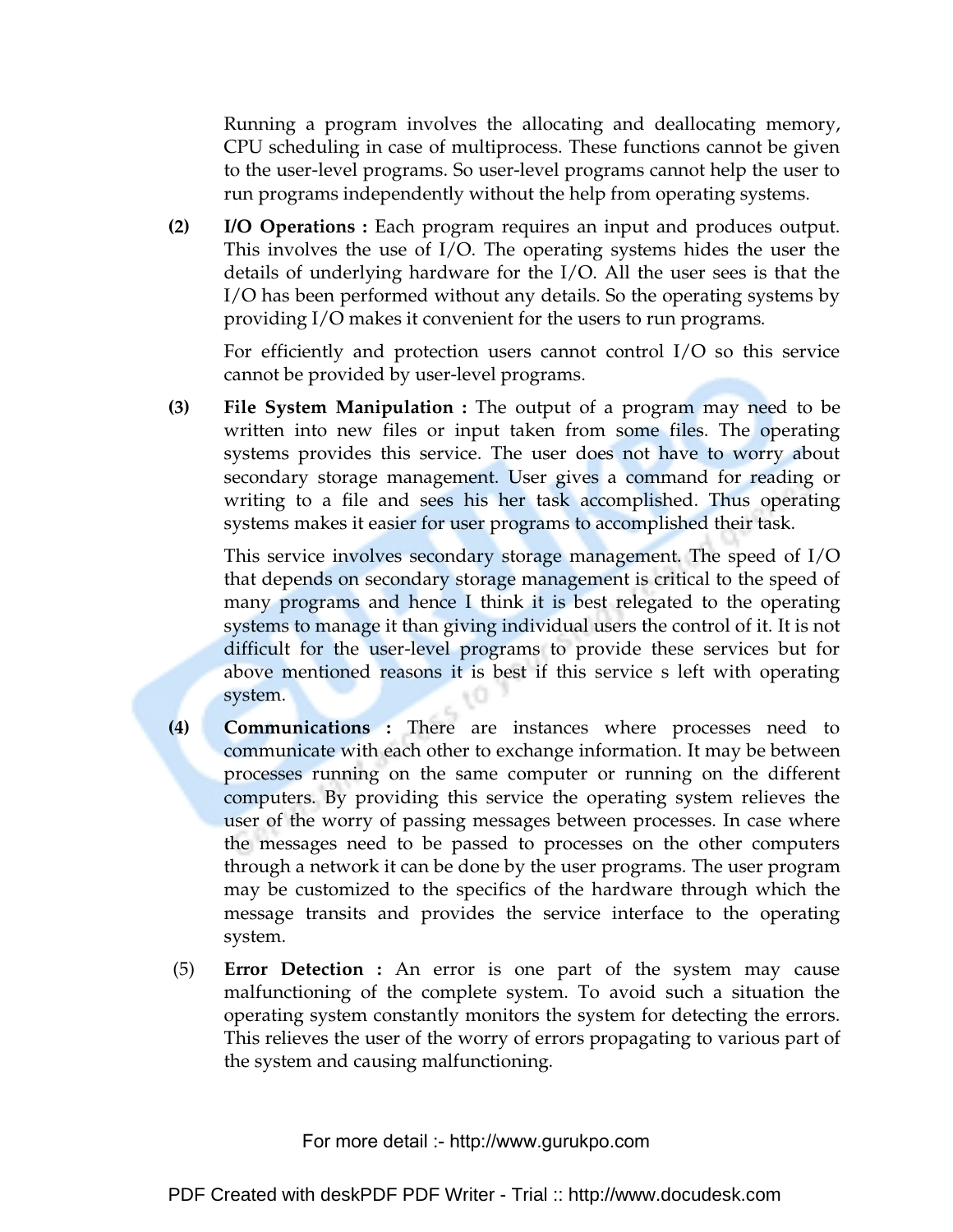Running a program involves the allocating and deallocating memory, CPU scheduling in case of multiprocess. These functions cannot be given to the user-level programs. So user-level programs cannot help the user to run programs independently without the help from operating systems.

**(2) I/O Operations :** Each program requires an input and produces output. This involves the use of I/O. The operating systems hides the user the details of underlying hardware for the I/O. All the user sees is that the I/O has been performed without any details. So the operating systems by providing I/O makes it convenient for the users to run programs.

For efficiently and protection users cannot control I/O so this service cannot be provided by user-level programs.

**(3) File System Manipulation :** The output of a program may need to be written into new files or input taken from some files. The operating systems provides this service. The user does not have to worry about secondary storage management. User gives a command for reading or writing to a file and sees his her task accomplished. Thus operating systems makes it easier for user programs to accomplished their task.

This service involves secondary storage management. The speed of I/O that depends on secondary storage management is critical to the speed of many programs and hence I think it is best relegated to the operating systems to manage it than giving individual users the control of it. It is not difficult for the user-level programs to provide these services but for above mentioned reasons it is best if this service s left with operating system.

- **(4) Communications :** There are instances where processes need to communicate with each other to exchange information. It may be between processes running on the same computer or running on the different computers. By providing this service the operating system relieves the user of the worry of passing messages between processes. In case where the messages need to be passed to processes on the other computers through a network it can be done by the user programs. The user program may be customized to the specifics of the hardware through which the message transits and provides the service interface to the operating system.
- (5) **Error Detection :** An error is one part of the system may cause malfunctioning of the complete system. To avoid such a situation the operating system constantly monitors the system for detecting the errors. This relieves the user of the worry of errors propagating to various part of the system and causing malfunctioning.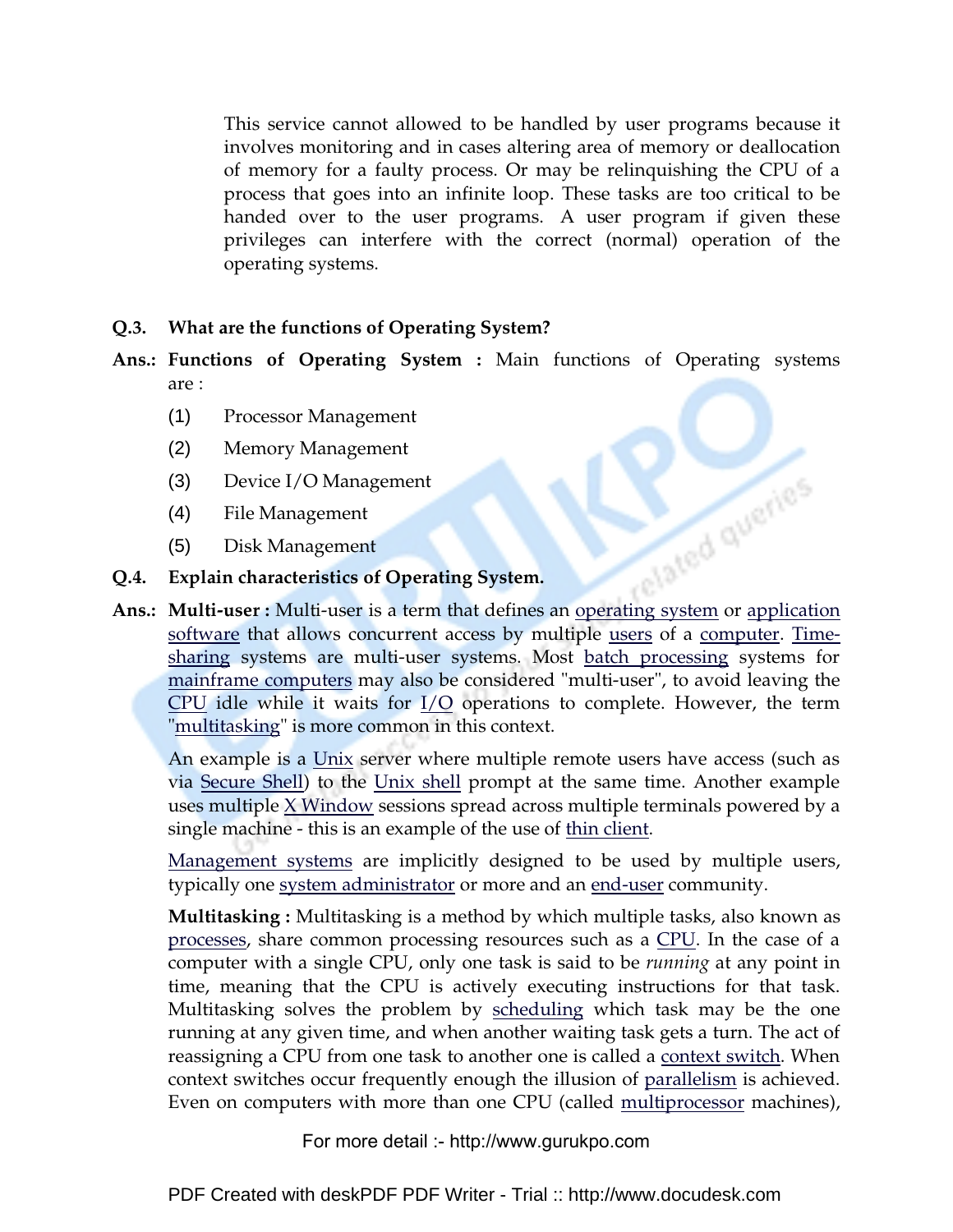This service cannot allowed to be handled by user programs because it involves monitoring and in cases altering area of memory or deallocation of memory for a faulty process. Or may be relinquishing the CPU of a process that goes into an infinite loop. These tasks are too critical to be handed over to the user programs. A user program if given these privileges can interfere with the correct (normal) operation of the operating systems.

### **Q.3. What are the functions of Operating System?**

- **Ans.: Functions of Operating System :** Main functions of Operating systems are :
	- (1) Processor Management
	- (2) Memory Management
	- (3) Device I/O Management
	- (4) File Management
	- (5) Disk Management
- **Q.4. Explain characteristics of Operating System.**
- **Ans.: Multi-user : Multi-user is a term that defines an operating system or application** software that allows concurrent access by multiple users of a computer. Timesharing systems are multi-user systems. Most batch processing systems for mainframe computers may also be considered "multi-user", to avoid leaving the CPU idle while it waits for I/O operations to complete. However, the term "multitasking" is more common in this context.

An example is a Unix server where multiple remote users have access (such as via Secure Shell) to the Unix shell prompt at the same time. Another example uses multiple X Window sessions spread across multiple terminals powered by a single machine - this is an example of the use of thin client.

Management systems are implicitly designed to be used by multiple users, typically one system administrator or more and an end-user community.

**Multitasking :** Multitasking is a method by which multiple tasks, also known as processes, share common processing resources such as a CPU. In the case of a computer with a single CPU, only one task is said to be *running* at any point in time, meaning that the CPU is actively executing instructions for that task. Multitasking solves the problem by <u>scheduling</u> which task may be the one running at any given time, and when another waiting task gets a turn. The act of reassigning a CPU from one task to another one is called a context switch. When context switches occur frequently enough the illusion of parallelism is achieved. Even on computers with more than one CPU (called multiprocessor machines),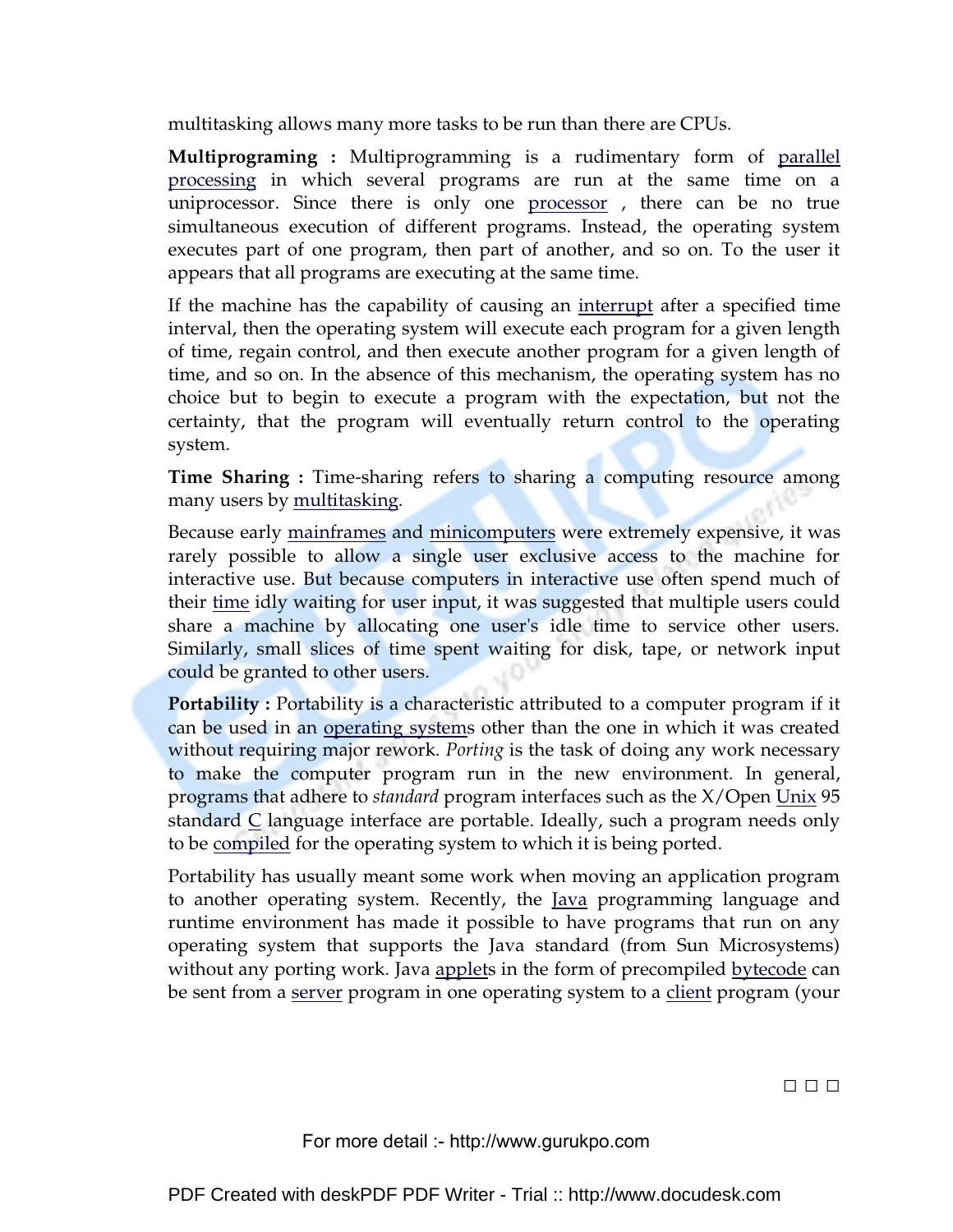multitasking allows many more tasks to be run than there are CPUs.

**Multiprograming :** Multiprogramming is a rudimentary form of parallel processing in which several programs are run at the same time on a uniprocessor. Since there is only one processor, there can be no true simultaneous execution of different programs. Instead, the operating system executes part of one program, then part of another, and so on. To the user it appears that all programs are executing at the same time.

If the machine has the capability of causing an interrupt after a specified time interval, then the operating system will execute each program for a given length of time, regain control, and then execute another program for a given length of time, and so on. In the absence of this mechanism, the operating system has no choice but to begin to execute a program with the expectation, but not the certainty, that the program will eventually return control to the operating system.

**Time Sharing :** Time-sharing refers to sharing a computing resource among many users by multitasking.

Because early mainframes and minicomputers were extremely expensive, it was rarely possible to allow a single user exclusive access to the machine for interactive use. But because computers in interactive use often spend much of their time idly waiting for user input, it was suggested that multiple users could share a machine by allocating one user's idle time to service other users. Similarly, small slices of time spent waiting for disk, tape, or network input could be granted to other users.

**Portability :** Portability is a characteristic attributed to a computer program if it can be used in an operating systems other than the one in which it was created without requiring major rework. *Porting* is the task of doing any work necessary to make the computer program run in the new environment. In general, programs that adhere to *standard* program interfaces such as the X/Open Unix 95 standard C language interface are portable. Ideally, such a program needs only to be compiled for the operating system to which it is being ported.

Portability has usually meant some work when moving an application program to another operating system. Recently, the Java programming language and runtime environment has made it possible to have programs that run on any operating system that supports the Java standard (from Sun Microsystems) without any porting work. Java applets in the form of precompiled bytecode can be sent from a server program in one operating system to a client program (your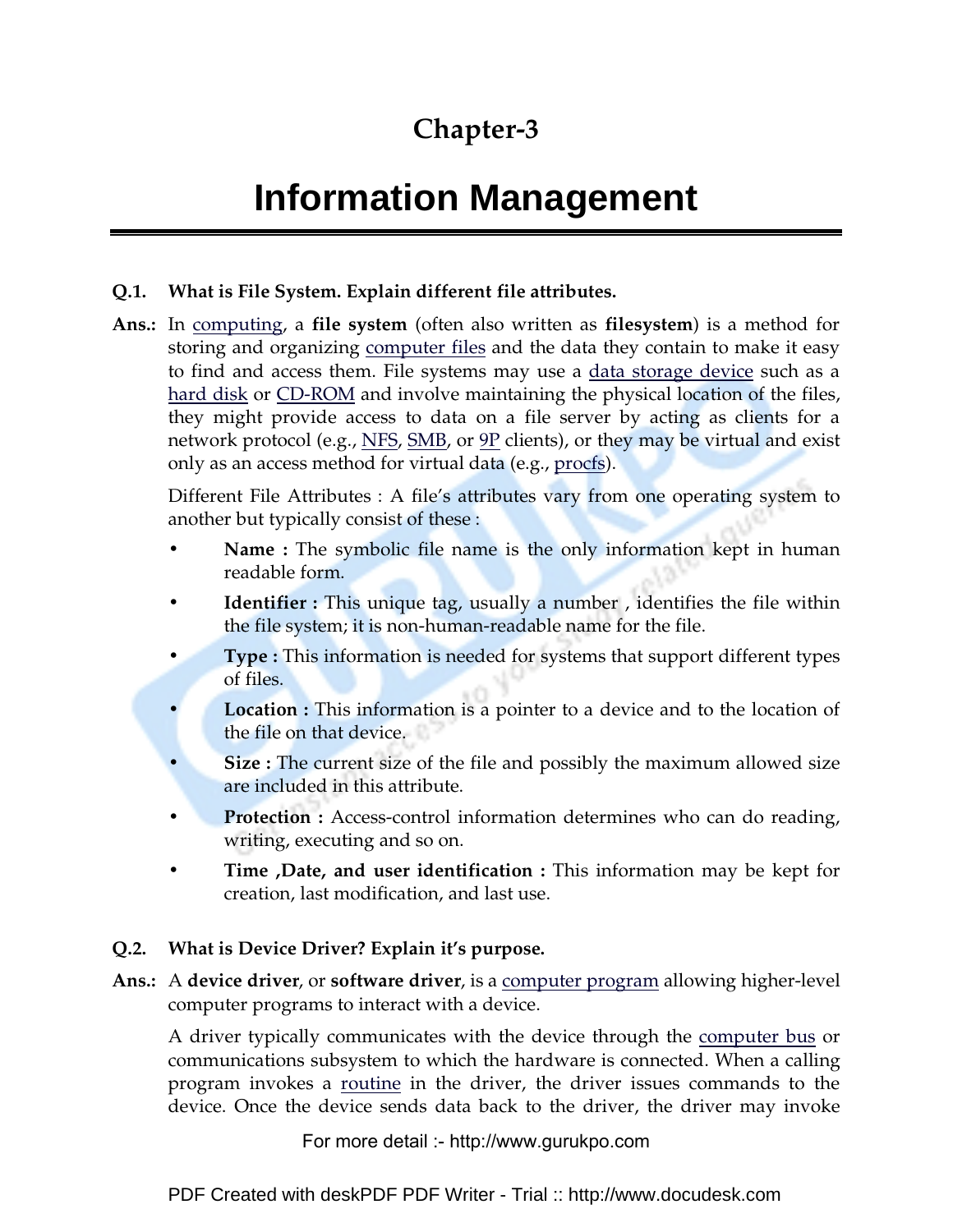### **Chapter-3**

# **Information Management**

### **Q.1. What is File System. Explain different file attributes.**

**Ans.:** In computing, a **file system** (often also written as **filesystem**) is a method for storing and organizing computer files and the data they contain to make it easy to find and access them. File systems may use a data storage device such as a hard disk or CD-ROM and involve maintaining the physical location of the files, they might provide access to data on a file server by acting as clients for a network protocol (e.g., NFS, SMB, or 9P clients), or they may be virtual and exist only as an access method for virtual data (e.g., procfs).

Different File Attributes : A file's attributes vary from one operating system to another but typically consist of these :

- **Name :** The symbolic file name is the only information kept in human readable form.
- **Identifier :** This unique tag, usually a number, identifies the file within the file system; it is non-human-readable name for the file.
- **Type : This information is needed for systems that support different types** of files.
- **Location :** This information is a pointer to a device and to the location of the file on that device.
- **Size :** The current size of the file and possibly the maximum allowed size are included in this attribute.
- **Protection :** Access-control information determines who can do reading, writing, executing and so on.
- **Time ,Date, and user identification :** This information may be kept for creation, last modification, and last use.

### **Q.2. What is Device Driver? Explain it's purpose.**

**Ans.:** A **device driver**, or **software driver**, is a computer program allowing higher-level computer programs to interact with a device.

A driver typically communicates with the device through the computer bus or communications subsystem to which the hardware is connected. When a calling program invokes a routine in the driver, the driver issues commands to the device. Once the device sends data back to the driver, the driver may invoke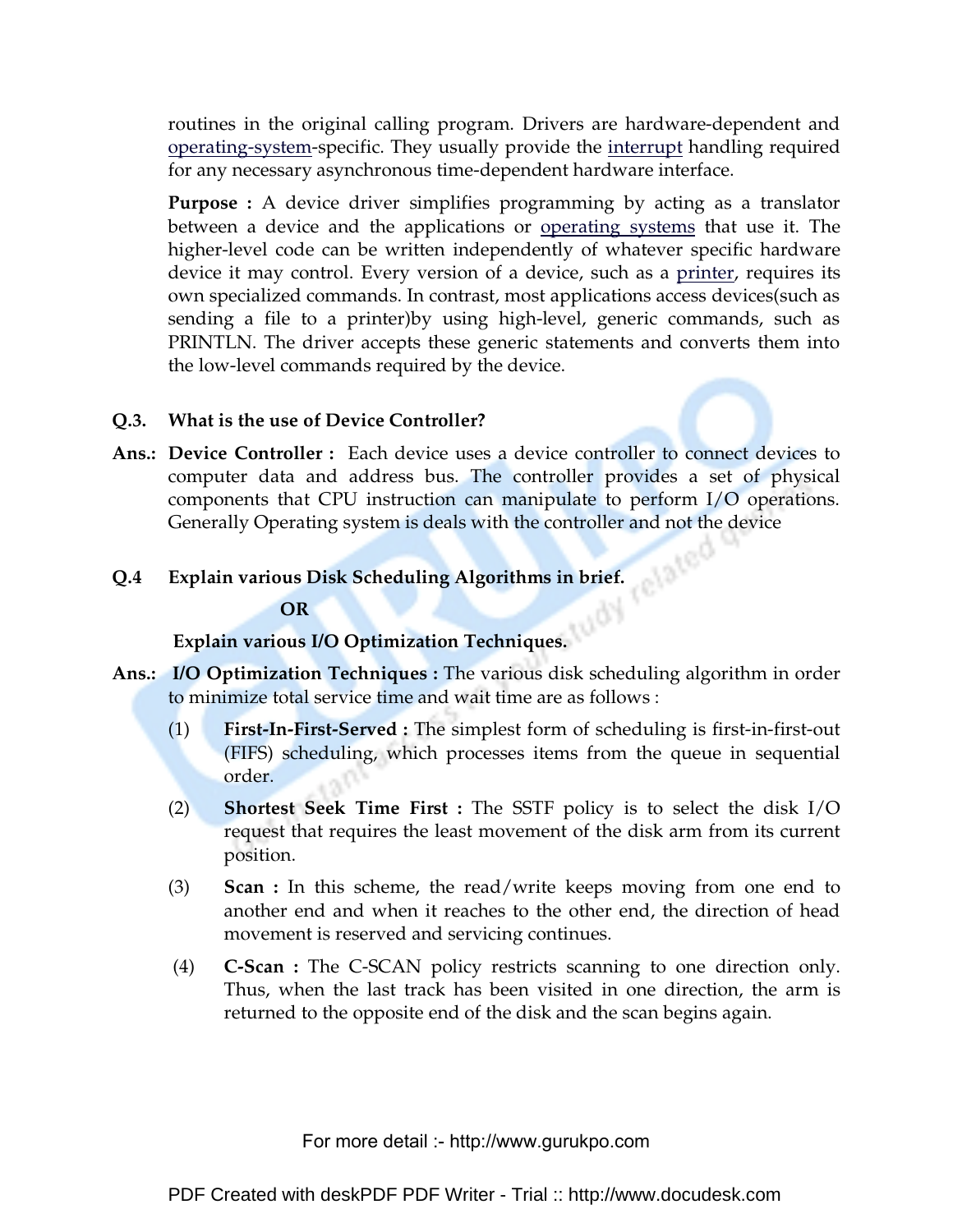routines in the original calling program. Drivers are hardware-dependent and operating-system-specific. They usually provide the interrupt handling required for any necessary asynchronous time-dependent hardware interface.

**Purpose :** A device driver simplifies programming by acting as a translator between a device and the applications or operating systems that use it. The higher-level code can be written independently of whatever specific hardware device it may control. Every version of a device, such as a printer, requires its own specialized commands. In contrast, most applications access devices(such as sending a file to a printer)by using high-level, generic commands, such as PRINTLN. The driver accepts these generic statements and converts them into the low-level commands required by the device.

### **Q.3. What is the use of Device Controller?**

**Ans.: Device Controller :** Each device uses a device controller to connect devices to computer data and address bus. The controller provides a set of physical components that CPU instruction can manipulate to perform I/O operations. Generally Operating system is deals with the controller and not the device

### **Q.4 Explain various Disk Scheduling Algorithms in brief.**

#### **OR**

### **Explain various I/O Optimization Techniques.**

- **Ans.: I/O Optimization Techniques :** The various disk scheduling algorithm in order to minimize total service time and wait time are as follows :
	- (1) **First-In-First-Served :** The simplest form of scheduling is first-in-first-out (FIFS) scheduling, which processes items from the queue in sequential order.
	- (2) **Shortest Seek Time First :** The SSTF policy is to select the disk I/O request that requires the least movement of the disk arm from its current position.
	- (3) **Scan :** In this scheme, the read/write keeps moving from one end to another end and when it reaches to the other end, the direction of head movement is reserved and servicing continues.
	- (4) **C-Scan :** The C-SCAN policy restricts scanning to one direction only. Thus, when the last track has been visited in one direction, the arm is returned to the opposite end of the disk and the scan begins again.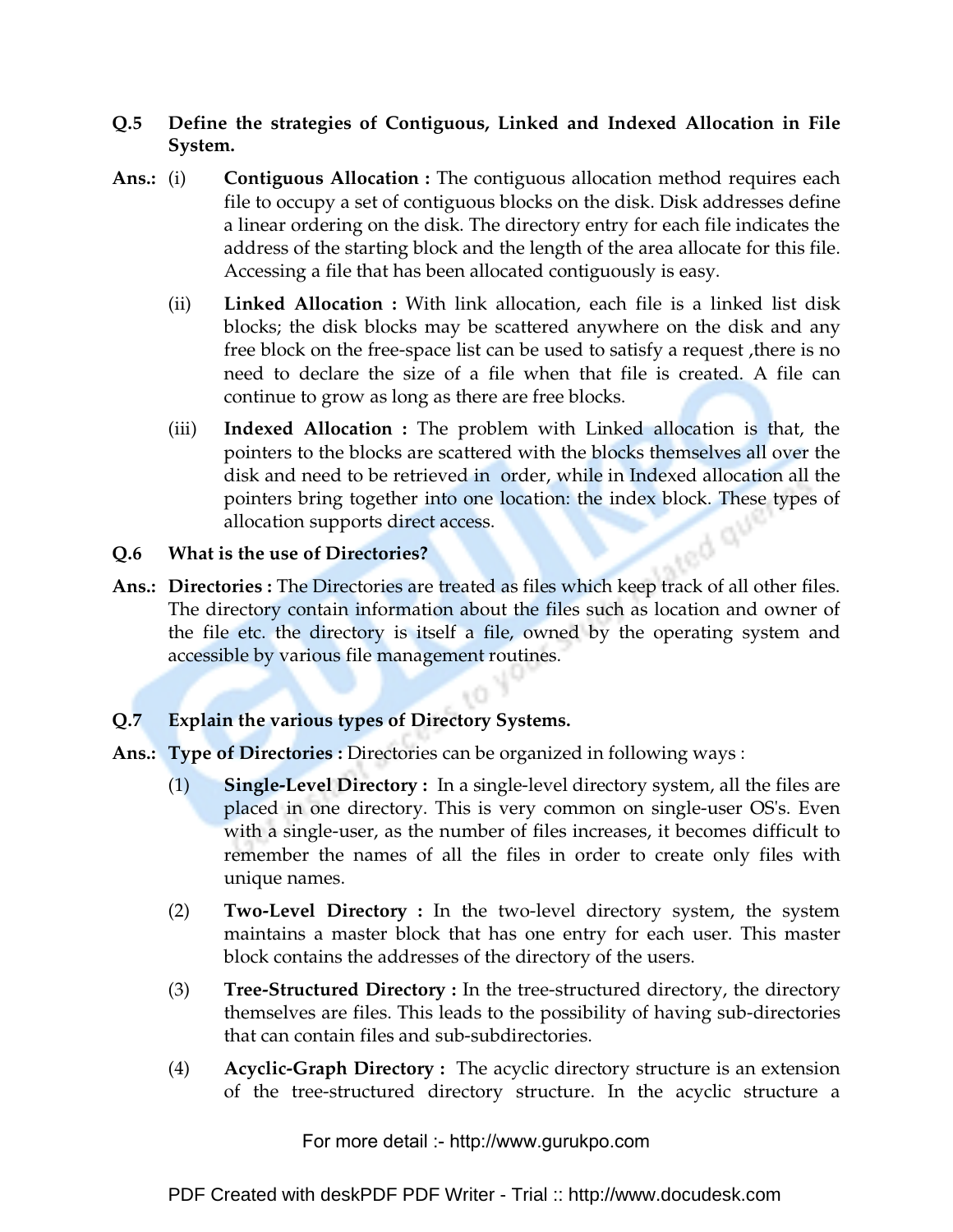### **Q.5 Define the strategies of Contiguous, Linked and Indexed Allocation in File System.**

- **Ans.:** (i) **Contiguous Allocation :** The contiguous allocation method requires each file to occupy a set of contiguous blocks on the disk. Disk addresses define a linear ordering on the disk. The directory entry for each file indicates the address of the starting block and the length of the area allocate for this file. Accessing a file that has been allocated contiguously is easy.
	- (ii) **Linked Allocation :** With link allocation, each file is a linked list disk blocks; the disk blocks may be scattered anywhere on the disk and any free block on the free-space list can be used to satisfy a request ,there is no need to declare the size of a file when that file is created. A file can continue to grow as long as there are free blocks.
	- (iii) **Indexed Allocation :** The problem with Linked allocation is that, the pointers to the blocks are scattered with the blocks themselves all over the disk and need to be retrieved in order, while in Indexed allocation all the pointers bring together into one location: the index block. These types of allocation supports direct access. **Red Sty**

#### **Q.6 What is the use of Directories?**

Ans.: Directories : The Directories are treated as files which keep track of all other files. The directory contain information about the files such as location and owner of the file etc. the directory is itself a file, owned by the operating system and accessible by various file management routines.

### **Q.7 Explain the various types of Directory Systems.**

- **Ans.: Type of Directories :** Directories can be organized in following ways :
	- (1) **Single-Level Directory :** In a single-level directory system, all the files are placed in one directory. This is very common on single-user OS's. Even with a single-user, as the number of files increases, it becomes difficult to remember the names of all the files in order to create only files with unique names.
	- (2) **Two-Level Directory :** In the two-level directory system, the system maintains a master block that has one entry for each user. This master block contains the addresses of the directory of the users.
	- (3) **Tree-Structured Directory :** In the tree-structured directory, the directory themselves are files. This leads to the possibility of having sub-directories that can contain files and sub-subdirectories.
	- (4) **Acyclic-Graph Directory :** The acyclic directory structure is an extension of the tree-structured directory structure. In the acyclic structure a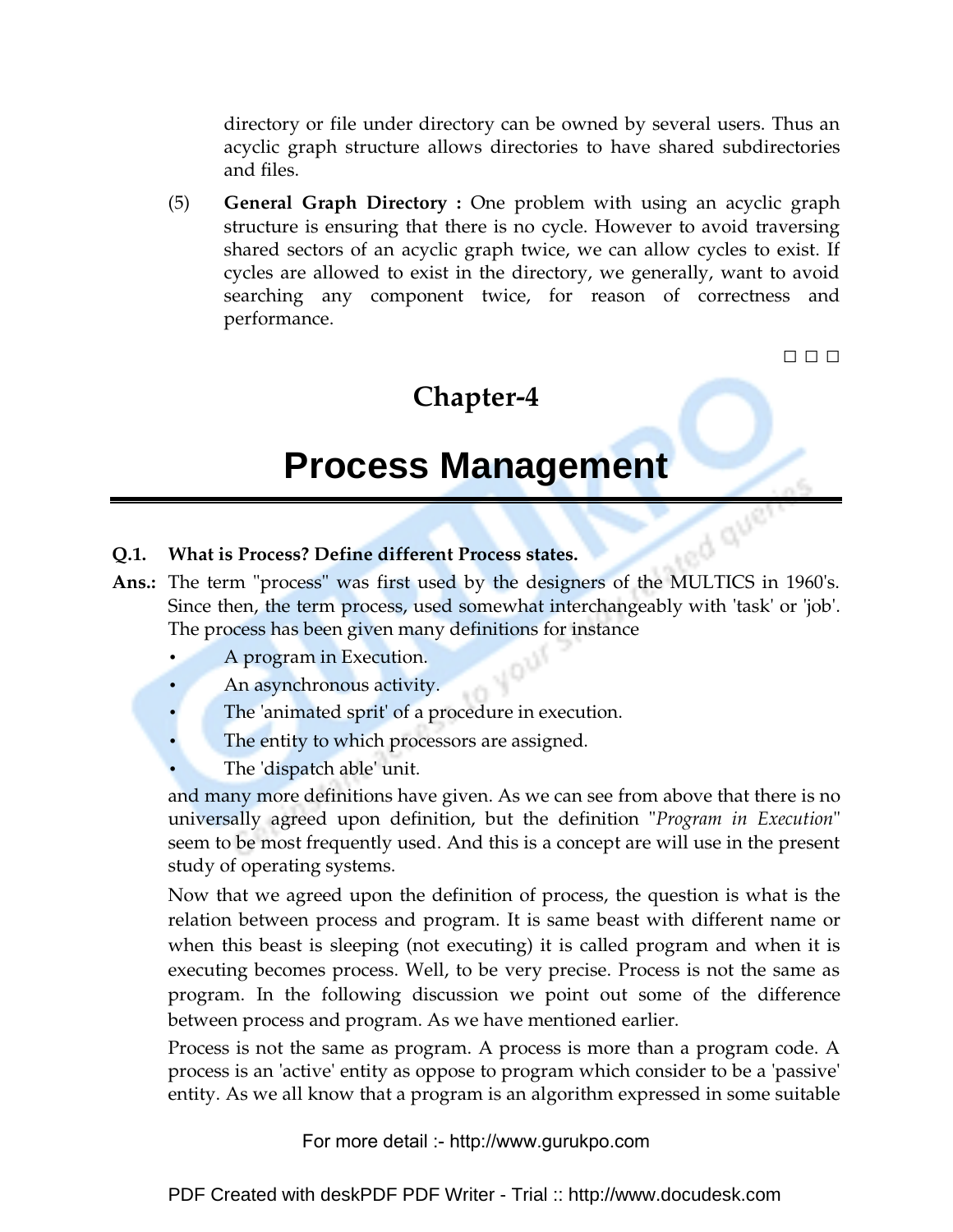directory or file under directory can be owned by several users. Thus an acyclic graph structure allows directories to have shared subdirectories and files.

(5) **General Graph Directory :** One problem with using an acyclic graph structure is ensuring that there is no cycle. However to avoid traversing shared sectors of an acyclic graph twice, we can allow cycles to exist. If cycles are allowed to exist in the directory, we generally, want to avoid searching any component twice, for reason of correctness and performance.

□ □ □

### **Chapter-4**

## **Process Management**

#### **Q.1. What is Process? Define different Process states.**

- **Q.1.** What is Process? Define different Process states.<br>Ans.: The term "process" was first used by the designers of the MULTICS in 1960's. Since then, the term process, used somewhat interchangeably with 'task' or 'job'. The process has been given many definitions for instance
	- A program in Execution.
	- An asynchronous activity.
	- The 'animated sprit' of a procedure in execution.
	- The entity to which processors are assigned.
	- The 'dispatch able' unit.

and many more definitions have given. As we can see from above that there is no universally agreed upon definition, but the definition "*Program in Execution*" seem to be most frequently used. And this is a concept are will use in the present study of operating systems.

Now that we agreed upon the definition of process, the question is what is the relation between process and program. It is same beast with different name or when this beast is sleeping (not executing) it is called program and when it is executing becomes process. Well, to be very precise. Process is not the same as program. In the following discussion we point out some of the difference between process and program. As we have mentioned earlier.

Process is not the same as program. A process is more than a program code. A process is an 'active' entity as oppose to program which consider to be a 'passive' entity. As we all know that a program is an algorithm expressed in some suitable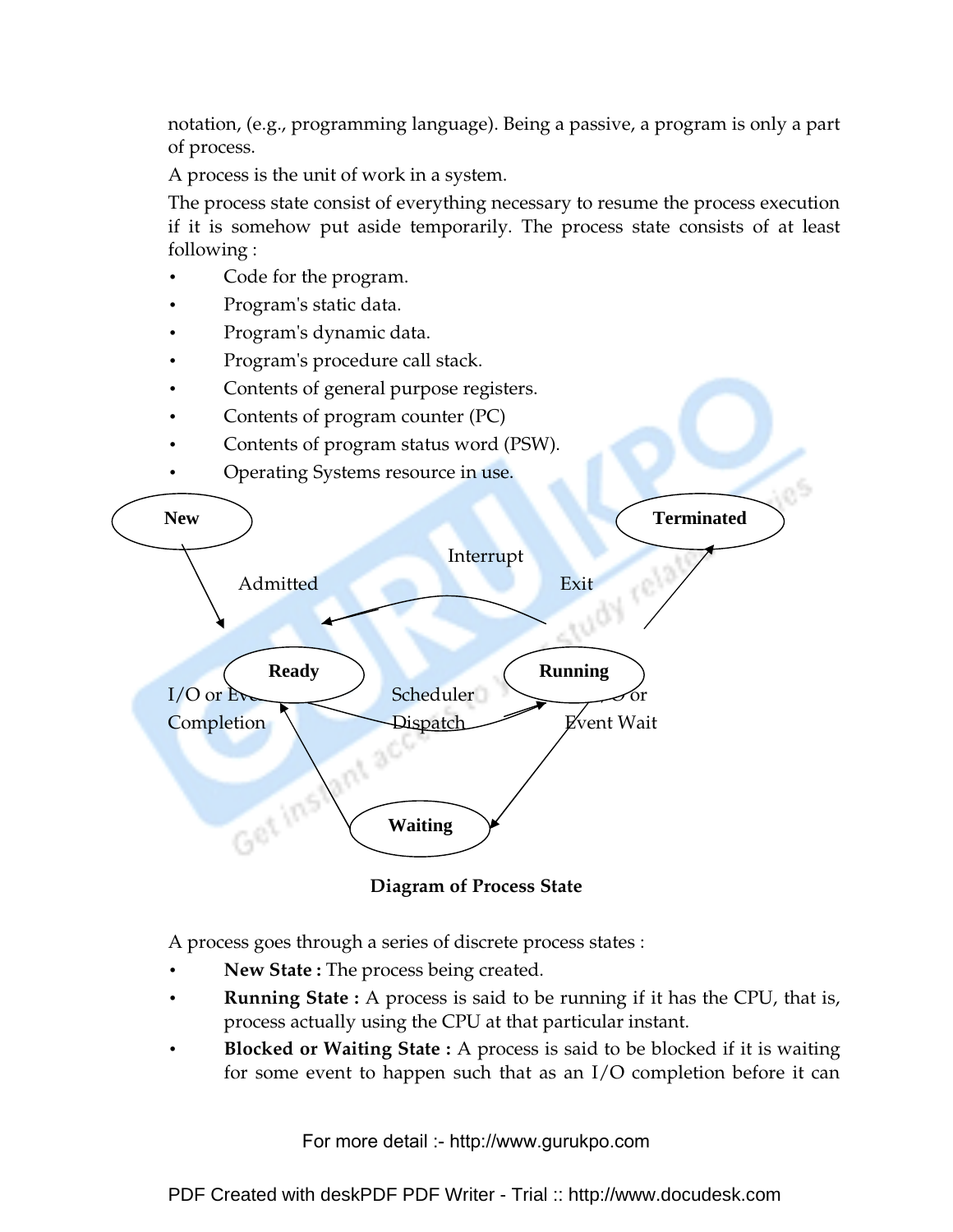notation, (e.g., programming language). Being a passive, a program is only a part of process.

A process is the unit of work in a system.

The process state consist of everything necessary to resume the process execution if it is somehow put aside temporarily. The process state consists of at least following :

- Code for the program.
- Program's static data.
- Program's dynamic data.
- Program's procedure call stack.
- Contents of general purpose registers.
- Contents of program counter (PC)
- Contents of program status word (PSW).
- Operating Systems resource in use.



**Diagram of Process State** 

A process goes through a series of discrete process states :

- **New State :** The process being created.
- **Running State :** A process is said to be running if it has the CPU, that is, process actually using the CPU at that particular instant.
- **Blocked or Waiting State :** A process is said to be blocked if it is waiting for some event to happen such that as an I/O completion before it can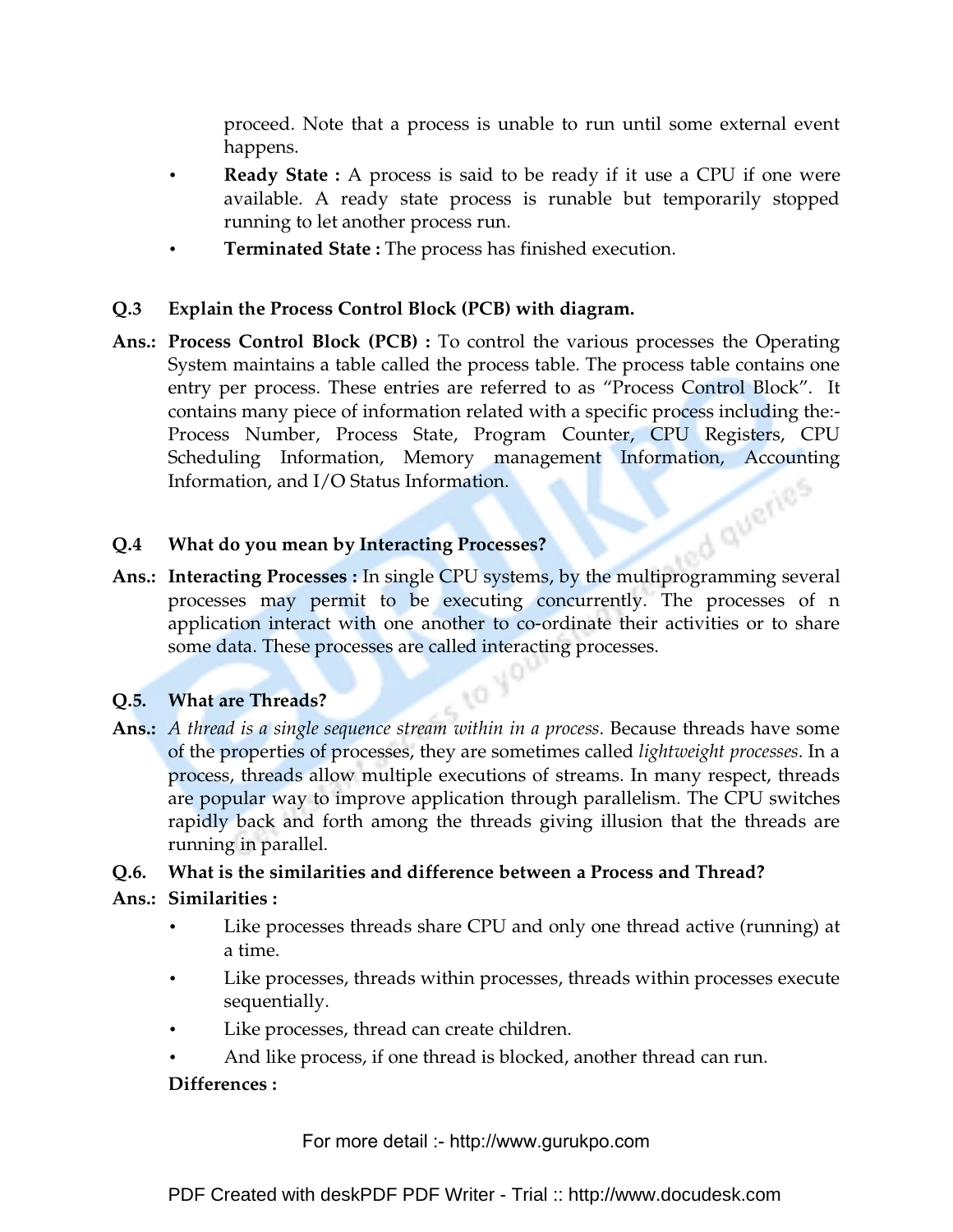proceed. Note that a process is unable to run until some external event happens.

- **Ready State :** A process is said to be ready if it use a CPU if one were available. A ready state process is runable but temporarily stopped running to let another process run.
- **Terminated State :** The process has finished execution.

### **Q.3 Explain the Process Control Block (PCB) with diagram.**

**Ans.: Process Control Block (PCB) :** To control the various processes the Operating System maintains a table called the process table. The process table contains one entry per process. These entries are referred to as "Process Control Block". It contains many piece of information related with a specific process including the:- Process Number, Process State, Program Counter, CPU Registers, CPU Scheduling Information, Memory management Information, Accounting<br>Information, and I/O Status Information.<br>What do you mean by Interacting Processing Information, and I/O Status Information.

### **Q.4 What do you mean by Interacting Processes?**

**Ans.: Interacting Processes :** In single CPU systems, by the multiprogramming several processes may permit to be executing concurrently. The processes of n application interact with one another to co-ordinate their activities or to share some data. These processes are called interacting processes.

### **Q.5. What are Threads?**

**Ans.:** *A thread is a single sequence stream within in a process*. Because threads have some of the properties of processes, they are sometimes called *lightweight processes*. In a process, threads allow multiple executions of streams. In many respect, threads are popular way to improve application through parallelism. The CPU switches rapidly back and forth among the threads giving illusion that the threads are running in parallel.

### **Q.6. What is the similarities and difference between a Process and Thread?**

### **Ans.: Similarities :**

- Like processes threads share CPU and only one thread active (running) at a time.
- Like processes, threads within processes, threads within processes execute sequentially.
- Like processes, thread can create children.
- And like process, if one thread is blocked, another thread can run.

### **Differences :**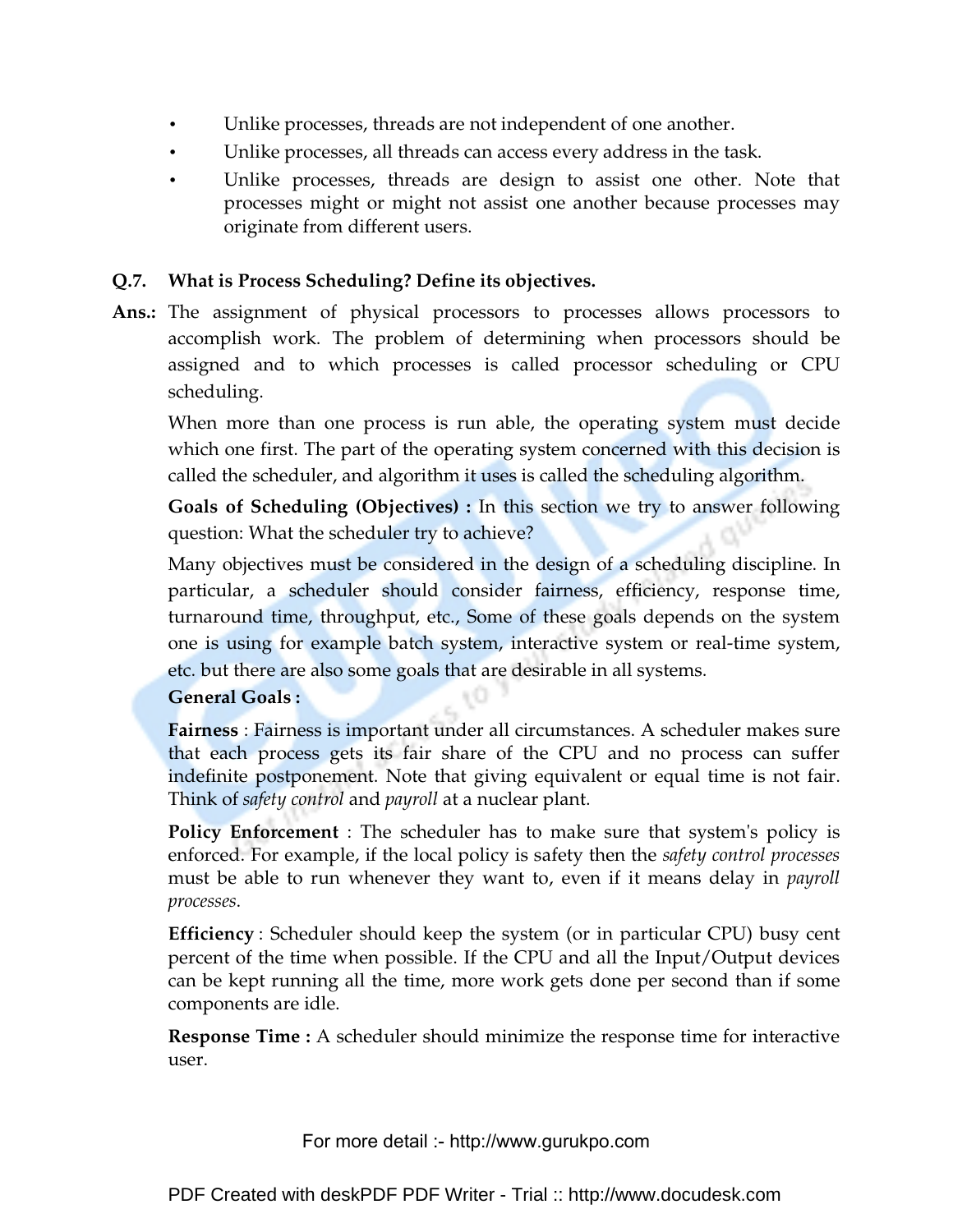- Unlike processes, threads are not independent of one another.
- Unlike processes, all threads can access every address in the task.
- Unlike processes, threads are design to assist one other. Note that processes might or might not assist one another because processes may originate from different users.

### **Q.7. What is Process Scheduling? Define its objectives.**

**Ans.:** The assignment of physical processors to processes allows processors to accomplish work. The problem of determining when processors should be assigned and to which processes is called processor scheduling or CPU scheduling.

When more than one process is run able, the operating system must decide which one first. The part of the operating system concerned with this decision is called the scheduler, and algorithm it uses is called the scheduling algorithm.

**Goals of Scheduling (Objectives) :** In this section we try to answer following question: What the scheduler try to achieve?

Many objectives must be considered in the design of a scheduling discipline. In particular, a scheduler should consider fairness, efficiency, response time, turnaround time, throughput, etc., Some of these goals depends on the system one is using for example batch system, interactive system or real-time system, etc. but there are also some goals that are desirable in all systems.

### **General Goals :**

**Fairness** : Fairness is important under all circumstances. A scheduler makes sure that each process gets its fair share of the CPU and no process can suffer indefinite postponement. Note that giving equivalent or equal time is not fair. Think of *safety control* and *payroll* at a nuclear plant.

**Policy Enforcement** : The scheduler has to make sure that system's policy is enforced. For example, if the local policy is safety then the *safety control processes* must be able to run whenever they want to, even if it means delay in *payroll processes*.

**Efficiency** : Scheduler should keep the system (or in particular CPU) busy cent percent of the time when possible. If the CPU and all the Input/Output devices can be kept running all the time, more work gets done per second than if some components are idle.

 **Response Time :** A scheduler should minimize the response time for interactive user.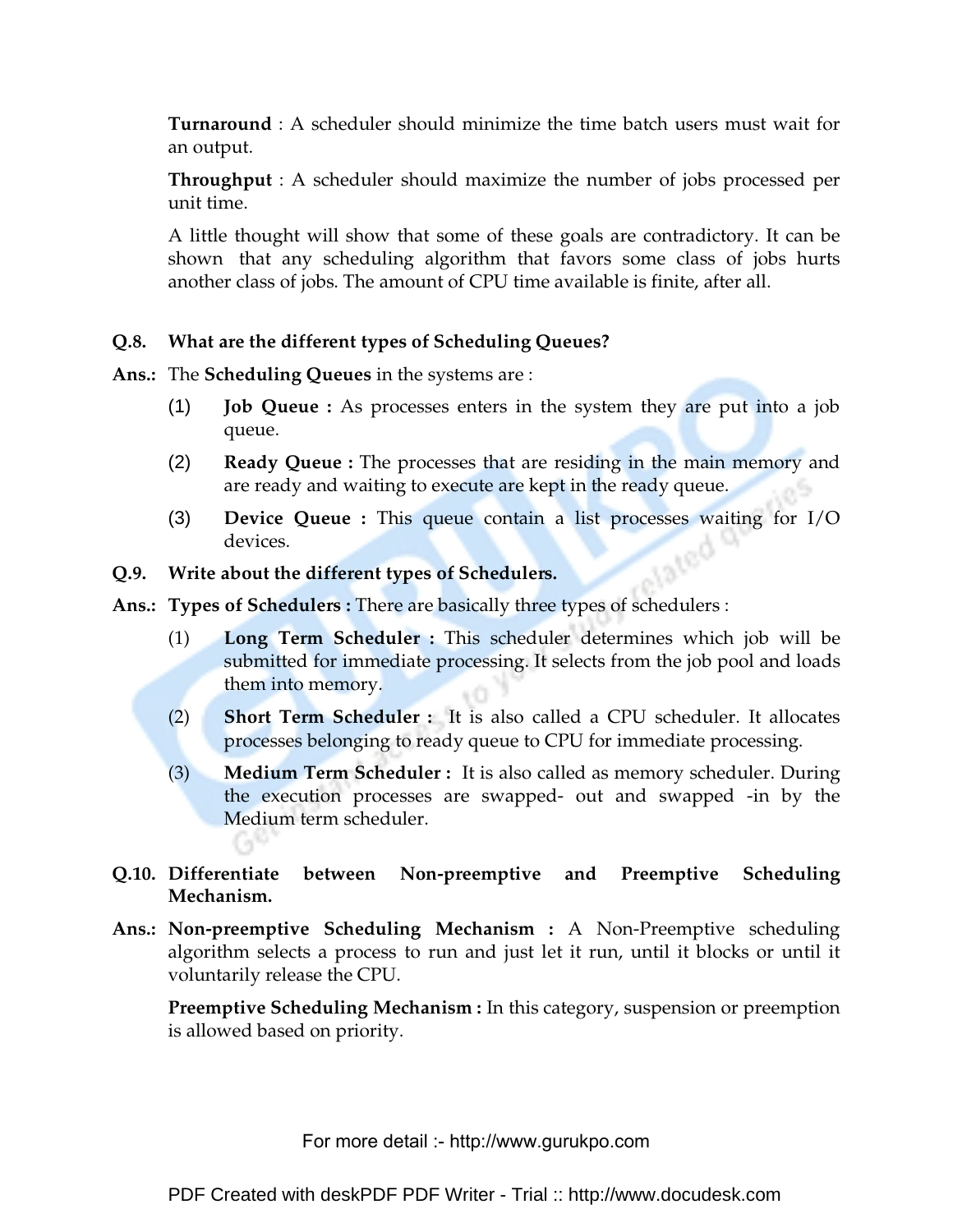**Turnaround** : A scheduler should minimize the time batch users must wait for an output.

 **Throughput** : A scheduler should maximize the number of jobs processed per unit time.

A little thought will show that some of these goals are contradictory. It can be shown that any scheduling algorithm that favors some class of jobs hurts another class of jobs. The amount of CPU time available is finite, after all.

### **Q.8. What are the different types of Scheduling Queues?**

**Ans.:** The **Scheduling Queues** in the systems are :

- (1) **Job Queue :** As processes enters in the system they are put into a job queue.
- (2) **Ready Queue :** The processes that are residing in the main memory and are ready and waiting to execute are kept in the ready queue.
- (3) **Device Queue :** This queue contain a list processes waiting for I/O devices. **Tated**

#### **Q.9. Write about the different types of Schedulers.**

**Ans.: Types of Schedulers :** There are basically three types of schedulers :

- (1) **Long Term Scheduler :** This scheduler determines which job will be submitted for immediate processing. It selects from the job pool and loads them into memory.
- (2) **Short Term Scheduler :** It is also called a CPU scheduler. It allocates processes belonging to ready queue to CPU for immediate processing.
- (3) **Medium Term Scheduler :** It is also called as memory scheduler. During the execution processes are swapped- out and swapped -in by the Medium term scheduler.

### **Q.10. Differentiate between Non-preemptive and Preemptive Scheduling Mechanism.**

**Ans.: Non-preemptive Scheduling Mechanism :** A Non-Preemptive scheduling algorithm selects a process to run and just let it run, until it blocks or until it voluntarily release the CPU.

**Preemptive Scheduling Mechanism :** In this category, suspension or preemption is allowed based on priority.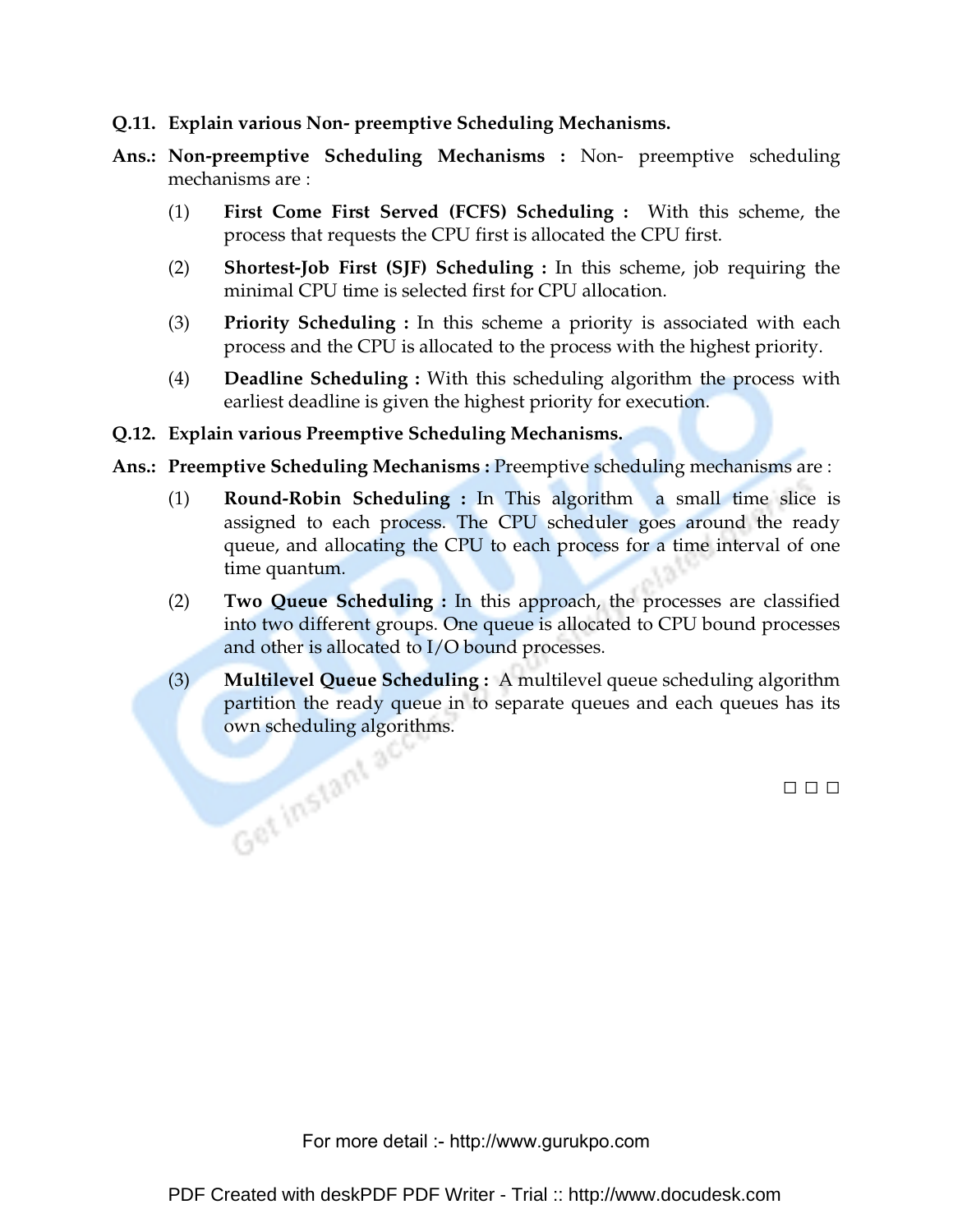- **Q.11. Explain various Non- preemptive Scheduling Mechanisms.**
- **Ans.: Non-preemptive Scheduling Mechanisms :** Non- preemptive scheduling mechanisms are :
	- (1) **First Come First Served (FCFS) Scheduling :** With this scheme, the process that requests the CPU first is allocated the CPU first.
	- (2) **Shortest-Job First (SJF) Scheduling :** In this scheme, job requiring the minimal CPU time is selected first for CPU allocation.
	- (3) **Priority Scheduling :** In this scheme a priority is associated with each process and the CPU is allocated to the process with the highest priority.
	- (4) **Deadline Scheduling :** With this scheduling algorithm the process with earliest deadline is given the highest priority for execution.

#### **Q.12. Explain various Preemptive Scheduling Mechanisms.**

- **Ans.: Preemptive Scheduling Mechanisms :** Preemptive scheduling mechanisms are :
	- (1) **Round-Robin Scheduling :** In This algorithm a small time slice is assigned to each process. The CPU scheduler goes around the ready queue, and allocating the CPU to each process for a time interval of one time quantum.
	- (2) **Two Queue Scheduling :** In this approach, the processes are classified into two different groups. One queue is allocated to CPU bound processes and other is allocated to I/O bound processes.
	- (3) **Multilevel Queue Scheduling :** A multilevel queue scheduling algorithm partition the ready queue in to separate queues and each queues has its own scheduling algorithms.

□ □ □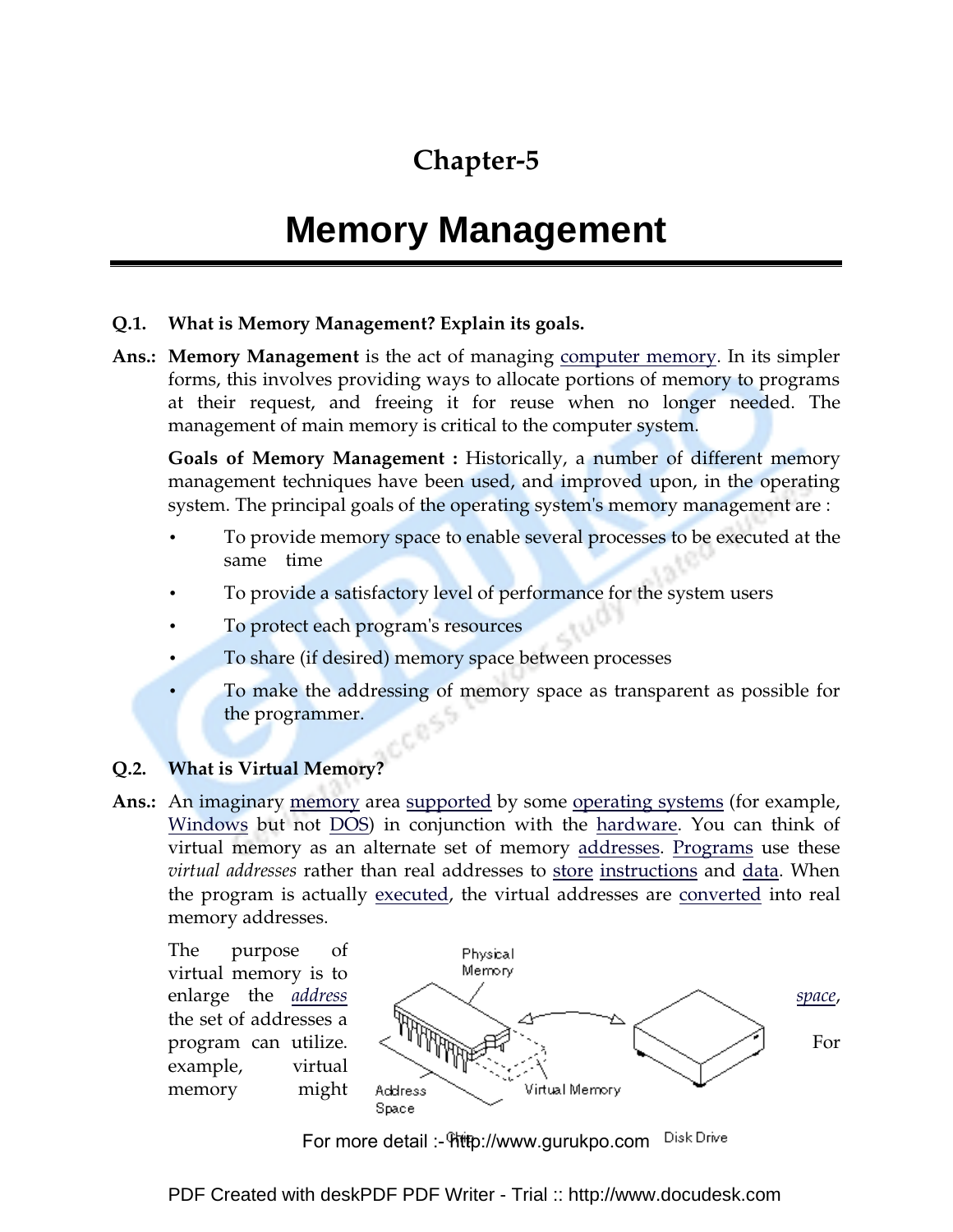### **Chapter-5**

## **Memory Management**

### **Q.1. What is Memory Management? Explain its goals.**

**Ans.: Memory Management** is the act of managing computer memory. In its simpler forms, this involves providing ways to allocate portions of memory to programs at their request, and freeing it for reuse when no longer needed. The management of main memory is critical to the computer system.

**Goals of Memory Management :** Historically, a number of different memory management techniques have been used, and improved upon, in the operating system. The principal goals of the operating system's memory management are :

- To provide memory space to enable several processes to be executed at the same time
- To provide a satisfactory level of performance for the system users
- To protect each program's resources
- To share (if desired) memory space between processes
- To make the addressing of memory space as transparent as possible for the programmer.

### **Q.2. What is Virtual Memory?**

**Ans.:** An imaginary memory area supported by some operating systems (for example, Windows but not DOS) in conjunction with the hardware. You can think of virtual memory as an alternate set of memory addresses. Programs use these *virtual addresses* rather than real addresses to store instructions and data. When the program is actually executed, the virtual addresses are converted into real memory addresses.

The purpose of virtual memory is to the set of addresses a example, virtual memory might



Disk Drive For more detail :- http://www.gurukpo.com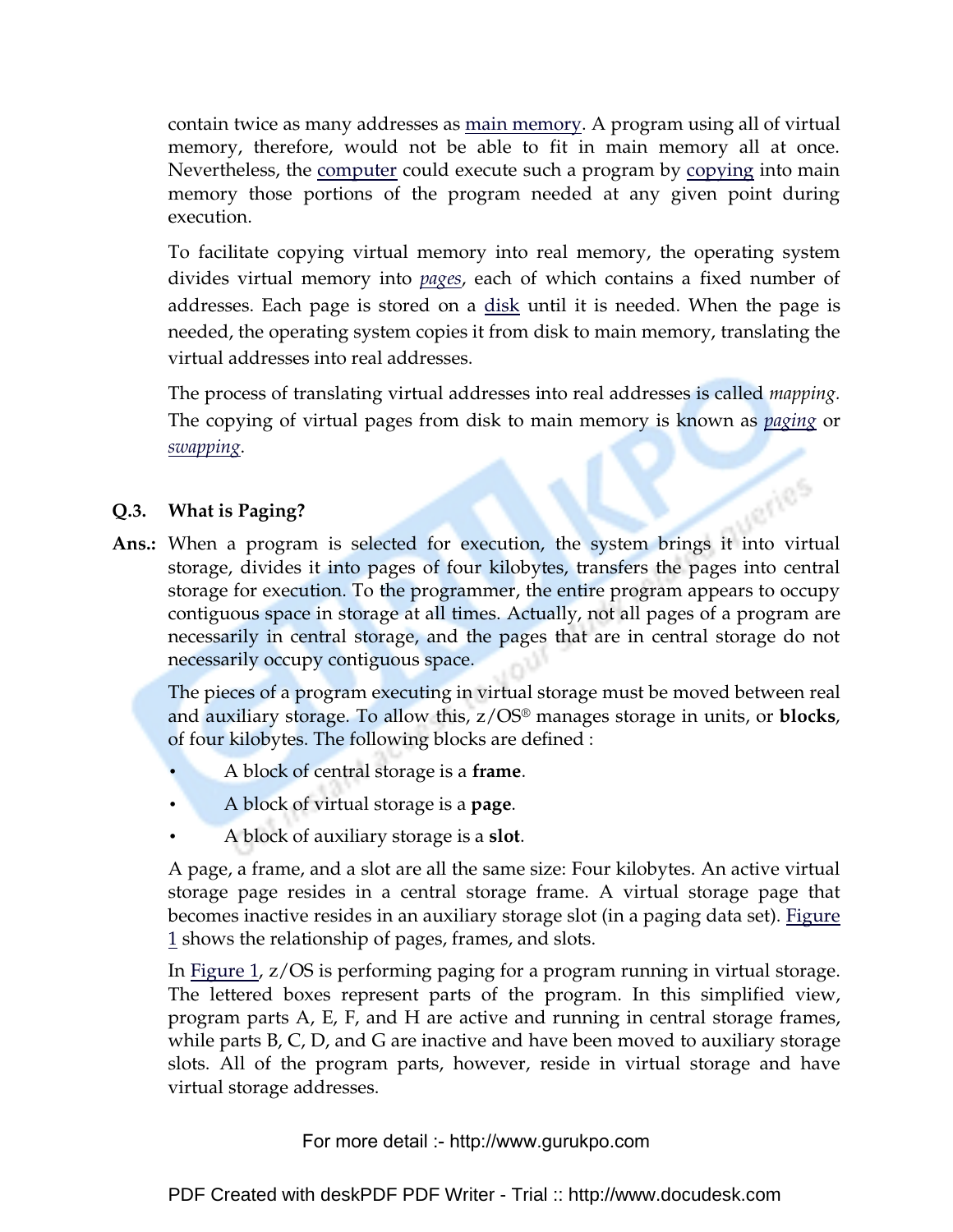contain twice as many addresses as main memory. A program using all of virtual memory, therefore, would not be able to fit in main memory all at once. Nevertheless, the computer could execute such a program by copying into main memory those portions of the program needed at any given point during execution.

To facilitate copying virtual memory into real memory, the operating system divides virtual memory into *pages*, each of which contains a fixed number of addresses. Each page is stored on a disk until it is needed. When the page is needed, the operating system copies it from disk to main memory, translating the virtual addresses into real addresses.

The process of translating virtual addresses into real addresses is called *mapping.* The copying of virtual pages from disk to main memory is known as *paging* or *swapping*.

**ANDS** 

### **Q.3. What is Paging?**

**Ans.:** When a program is selected for execution, the system brings it into virtual storage, divides it into pages of four kilobytes, transfers the pages into central storage for execution. To the programmer, the entire program appears to occupy contiguous space in storage at all times. Actually, not all pages of a program are necessarily in central storage, and the pages that are in central storage do not necessarily occupy contiguous space.

The pieces of a program executing in virtual storage must be moved between real and auxiliary storage. To allow this, z/OS® manages storage in units, or **blocks**, of four kilobytes. The following blocks are defined :

- A block of central storage is a **frame**.
- A block of virtual storage is a **page**.
- A block of auxiliary storage is a **slot**.

A page, a frame, and a slot are all the same size: Four kilobytes. An active virtual storage page resides in a central storage frame. A virtual storage page that becomes inactive resides in an auxiliary storage slot (in a paging data set). Figure 1 shows the relationship of pages, frames, and slots.

In Figure 1, z/OS is performing paging for a program running in virtual storage. The lettered boxes represent parts of the program. In this simplified view, program parts A, E, F, and H are active and running in central storage frames, while parts B, C, D, and G are inactive and have been moved to auxiliary storage slots. All of the program parts, however, reside in virtual storage and have virtual storage addresses.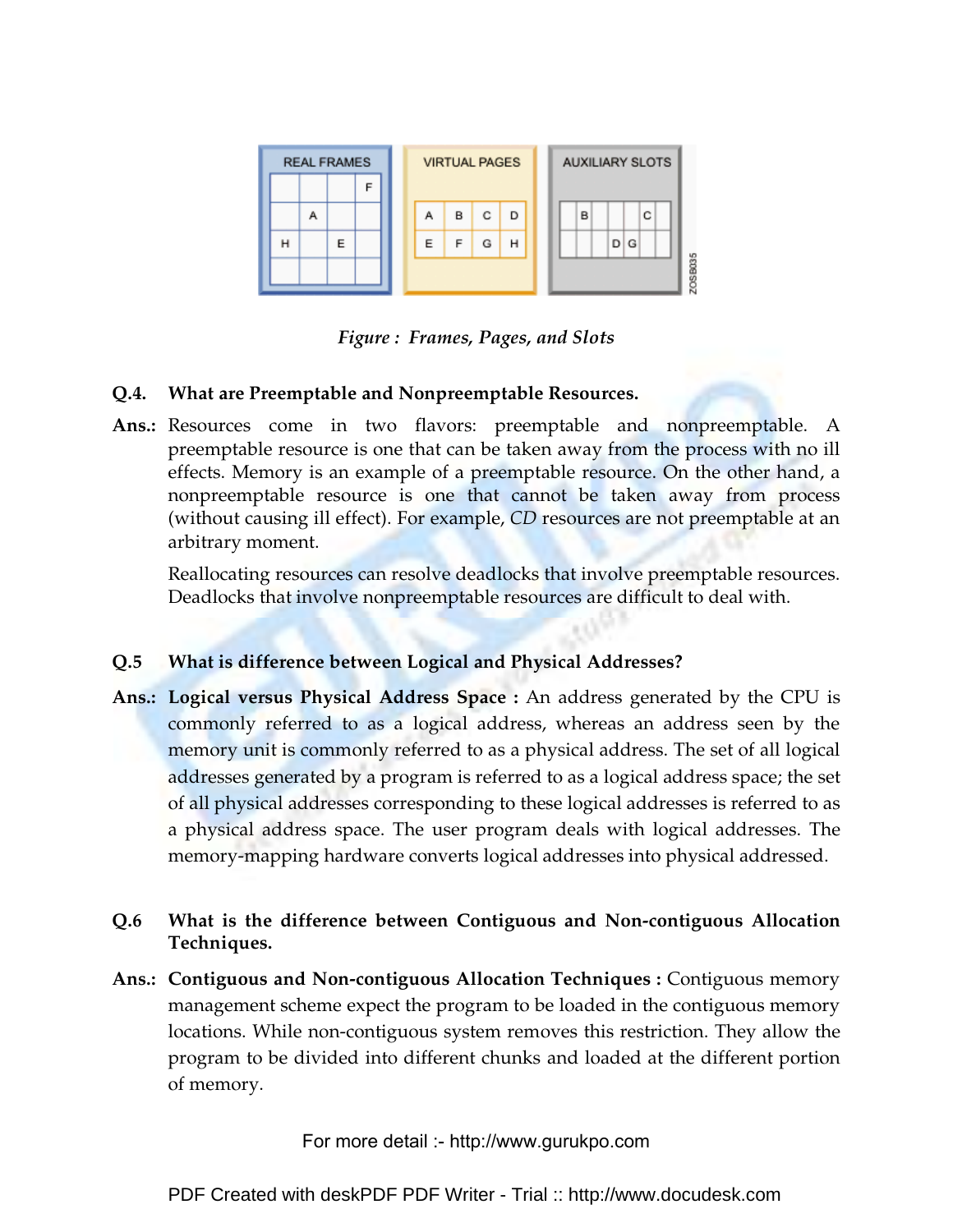

*Figure : Frames, Pages, and Slots*

### **Q.4. What are Preemptable and Nonpreemptable Resources.**

**Ans.:** Resources come in two flavors: preemptable and nonpreemptable. A preemptable resource is one that can be taken away from the process with no ill effects. Memory is an example of a preemptable resource. On the other hand, a nonpreemptable resource is one that cannot be taken away from process (without causing ill effect). For example, *CD* resources are not preemptable at an arbitrary moment.

Reallocating resources can resolve deadlocks that involve preemptable resources. Deadlocks that involve nonpreemptable resources are difficult to deal with.

### **Q.5 What is difference between Logical and Physical Addresses?**

**Ans.: Logical versus Physical Address Space :** An address generated by the CPU is commonly referred to as a logical address, whereas an address seen by the memory unit is commonly referred to as a physical address. The set of all logical addresses generated by a program is referred to as a logical address space; the set of all physical addresses corresponding to these logical addresses is referred to as a physical address space. The user program deals with logical addresses. The memory-mapping hardware converts logical addresses into physical addressed.

### **Q.6 What is the difference between Contiguous and Non-contiguous Allocation Techniques.**

**Ans.: Contiguous and Non-contiguous Allocation Techniques :** Contiguous memory management scheme expect the program to be loaded in the contiguous memory locations. While non-contiguous system removes this restriction. They allow the program to be divided into different chunks and loaded at the different portion of memory.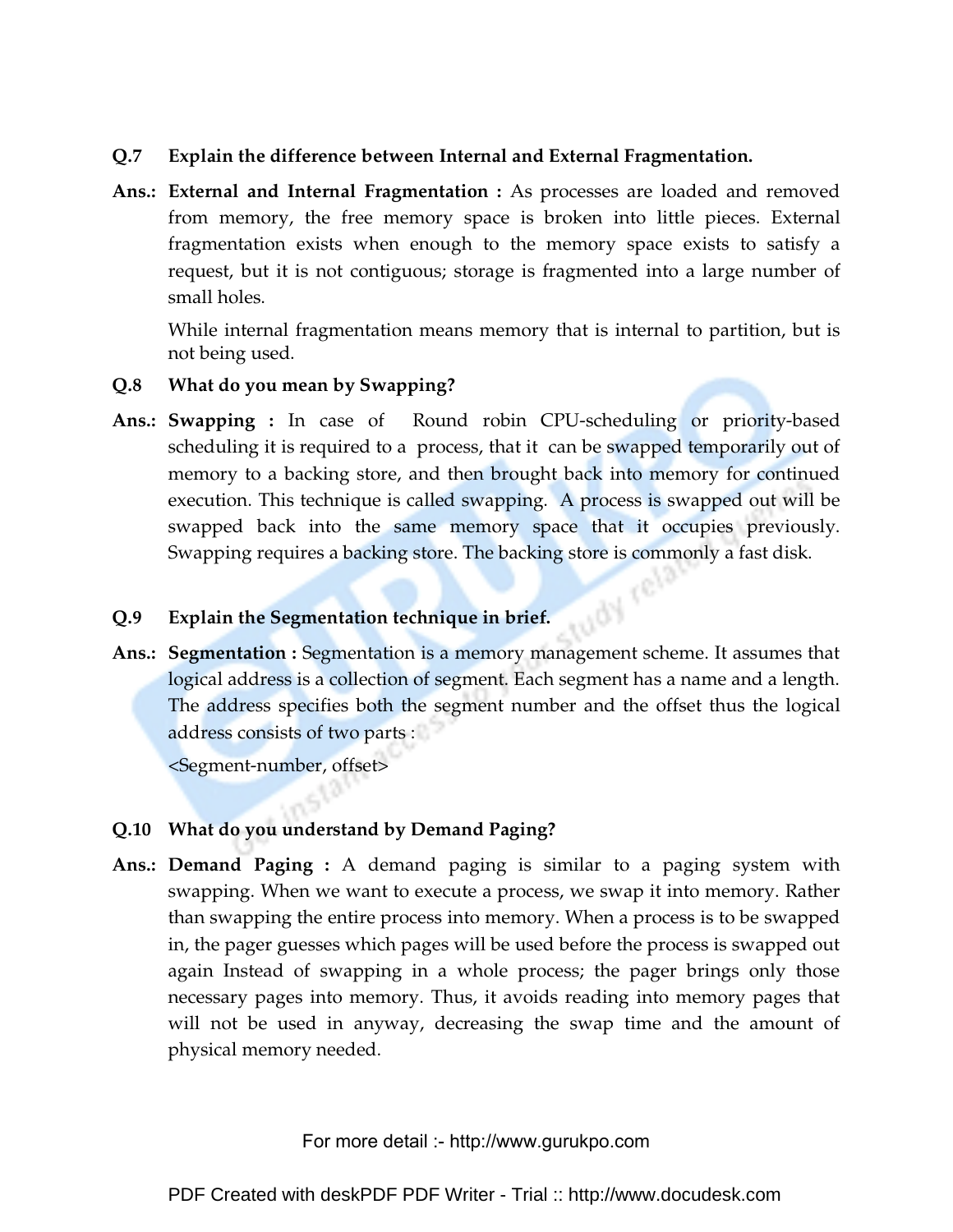### **Q.7 Explain the difference between Internal and External Fragmentation.**

**Ans.: External and Internal Fragmentation :** As processes are loaded and removed from memory, the free memory space is broken into little pieces. External fragmentation exists when enough to the memory space exists to satisfy a request, but it is not contiguous; storage is fragmented into a large number of small holes.

While internal fragmentation means memory that is internal to partition, but is not being used.

- **Q.8 What do you mean by Swapping?**
- **Ans.: Swapping :** In case of Round robin CPU-scheduling or priority-based scheduling it is required to a process, that it can be swapped temporarily out of memory to a backing store, and then brought back into memory for continued execution. This technique is called swapping. A process is swapped out will be swapped back into the same memory space that it occupies previously. Swapping requires a backing store. The backing store is commonly a fast disk.<br>Explain the Segmentation technique in but for the segmentation technique in the formula of the segmentation of

### **Q.9 Explain the Segmentation technique in brief.**

**Ans.: Segmentation :** Segmentation is a memory management scheme. It assumes that logical address is a collection of segment. Each segment has a name and a length. The address specifies both the segment number and the offset thus the logical address consists of two parts :

<Segment-number, offset>

### **Q.10 What do you understand by Demand Paging?**

**Ans.: Demand Paging :** A demand paging is similar to a paging system with swapping. When we want to execute a process, we swap it into memory. Rather than swapping the entire process into memory. When a process is to be swapped in, the pager guesses which pages will be used before the process is swapped out again Instead of swapping in a whole process; the pager brings only those necessary pages into memory. Thus, it avoids reading into memory pages that will not be used in anyway, decreasing the swap time and the amount of physical memory needed.